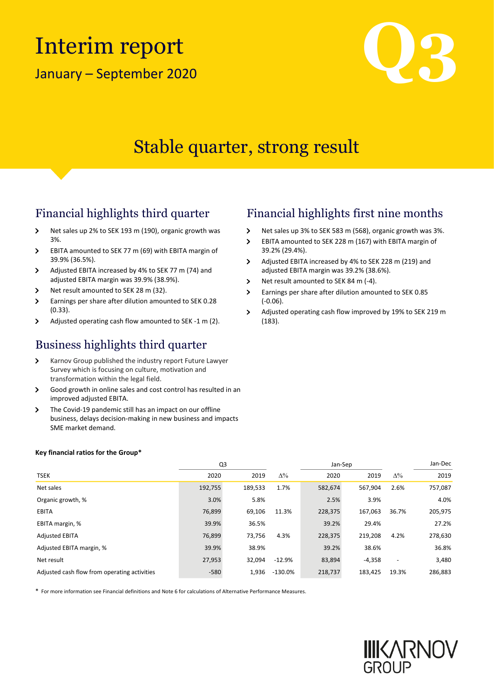# Interim report

January – September



### Stable quarter, strong result

- $\rightarrow$ Net sales up 2% to SEK 193 m (190), organic growth was 3%.
- EBITA amounted to SEK 77 m (69) with EBITA margin of  $\overline{\phantom{0}}$ 39.9% (36.5%).
- Adjusted EBITA increased by 4% to SEK 77 m (74) and  $\rightarrow$ adjusted EBITA margin was 39.9% (38.9%).
- Net result amounted to SEK 28 m (32).  $\rightarrow$

**Key financial ratios for the Group\***

- $\rightarrow$ Earnings per share after dilution amounted to SEK 0.28 (0.33).
- $\rightarrow$ Adjusted operating cash flow amounted to SEK -1 m (2).

### Business highlights third quarter

- Karnov Group published the industry report Future Lawyer  $\rightarrow$ Survey which is focusing on culture, motivation and transformation within the legal field.
- $\rightarrow$ Good growth in online sales and cost control has resulted in an improved adjusted EBITA.
- $\rightarrow$ The Covid-19 pandemic still has an impact on our offline business, delays decision-making in new business and impacts SME market demand.

### Financial highlights third quarter Financial highlights first nine months

- $\rightarrow$ Net sales up 3% to SEK 583 m (568), organic growth was 3%.
- $\overline{\phantom{0}}$ EBITA amounted to SEK 228 m (167) with EBITA margin of 39.2% (29.4%).
- Adjusted EBITA increased by 4% to SEK 228 m (219) and  $\mathbf{v}$ adjusted EBITA margin was 39.2% (38.6%).
- $\overline{\phantom{0}}$ Net result amounted to SEK 84 m (-4).
- Earnings per share after dilution amounted to SEK 0.85  $\overline{\phantom{0}}$ (-0.06).
- $\rightarrow$ Adjusted operating cash flow improved by 19% to SEK 219 m (183).

|                                              |         | Q3      |            | Jan-Sep |          |                          | Jan-Dec |
|----------------------------------------------|---------|---------|------------|---------|----------|--------------------------|---------|
| <b>TSEK</b>                                  | 2020    | 2019    | $\Delta\%$ | 2020    | 2019     | $\Delta\%$               | 2019    |
| Net sales                                    | 192,755 | 189,533 | 1.7%       | 582,674 | 567.904  | 2.6%                     | 757,087 |
| Organic growth, %                            | 3.0%    | 5.8%    |            | 2.5%    | 3.9%     |                          | 4.0%    |
| <b>EBITA</b>                                 | 76,899  | 69,106  | 11.3%      | 228,375 | 167,063  | 36.7%                    | 205,975 |
| EBITA margin, %                              | 39.9%   | 36.5%   |            | 39.2%   | 29.4%    |                          | 27.2%   |
| <b>Adjusted EBITA</b>                        | 76,899  | 73,756  | 4.3%       | 228,375 | 219,208  | 4.2%                     | 278,630 |
| Adjusted EBITA margin, %                     | 39.9%   | 38.9%   |            | 39.2%   | 38.6%    |                          | 36.8%   |
| Net result                                   | 27,953  | 32.094  | $-12.9%$   | 83,894  | $-4.358$ | $\overline{\phantom{0}}$ | 3,480   |
| Adjusted cash flow from operating activities | $-580$  | 1,936   | $-130.0\%$ | 218,737 | 183.425  | 19.3%                    | 286,883 |

\* For more information see Financial definitions and Note 6 for calculations of Alternative Performance Measures.

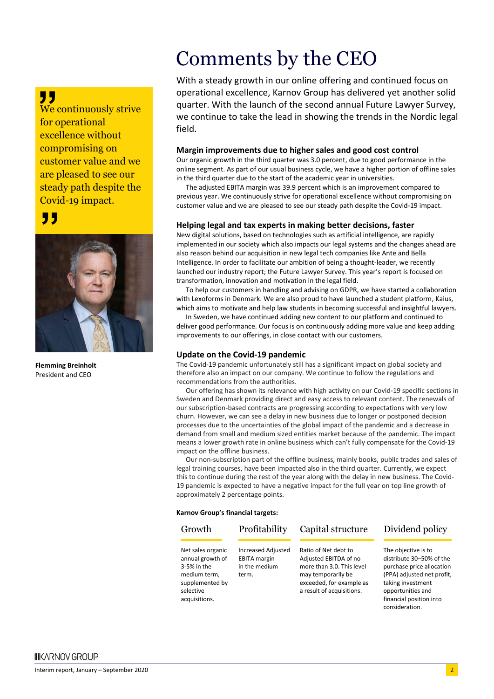### "

We continuously strive for operational excellence without compromising on customer value and we are pleased to see our steady path despite the Covid-19 impact.

### "



**Flemming Breinholt** President and CEO

### Comments by the CEO

With a steady growth in our online offering and continued focus on operational excellence, Karnov Group has delivered yet another solid quarter. With the launch of the second annual Future Lawyer Survey, we continue to take the lead in showing the trends in the Nordic legal field.

#### **Margin improvements due to higher sales and good cost control**

Our organic growth in the third quarter was 3.0 percent, due to good performance in the online segment. As part of our usual business cycle, we have a higher portion of offline sales in the third quarter due to the start of the academic year in universities.

The adjusted EBITA margin was 39.9 percent which is an improvement compared to previous year. We continuously strive for operational excellence without compromising on customer value and we are pleased to see our steady path despite the Covid-19 impact.

#### **Helping legal and tax experts in making better decisions, faster**

New digital solutions, based on technologies such as artificial intelligence, are rapidly implemented in our society which also impacts our legal systems and the changes ahead are also reason behind our acquisition in new legal tech companies like Ante and Bella Intelligence. In order to facilitate our ambition of being a thought-leader, we recently launched our industry report; the Future Lawyer Survey. This year's report is focused on transformation, innovation and motivation in the legal field.

To help our customers in handling and advising on GDPR, we have started a collaboration with Lexoforms in Denmark. We are also proud to have launched a student platform, Kaius, which aims to motivate and help law students in becoming successful and insightful lawyers.

In Sweden, we have continued adding new content to our platform and continued to deliver good performance. Our focus is on continuously adding more value and keep adding improvements to our offerings, in close contact with our customers.

### **Update on the Covid-19 pandemic**

The Covid-19 pandemic unfortunately still has a significant impact on global society and therefore also an impact on our company. We continue to follow the regulations and recommendations from the authorities.

Our offering has shown its relevance with high activity on our Covid-19 specific sections in Sweden and Denmark providing direct and easy access to relevant content. The renewals of our subscription-based contracts are progressing according to expectations with very low churn. However, we can see a delay in new business due to longer or postponed decision processes due to the uncertainties of the global impact of the pandemic and a decrease in demand from small and medium sized entities market because of the pandemic. The impact means a lower growth rate in online business which can't fully compensate for the Covid-19 impact on the offline business.

Our non-subscription part of the offline business, mainly books, public trades and sales of legal training courses, have been impacted also in the third quarter. Currently, we expect this to continue during the rest of the year along with the delay in new business. The Covid-19 pandemic is expected to have a negative impact for the full year on top line growth of approximately 2 percentage points.

#### **Karnov Group's financial targets:**

acquisitions.

#### Net sales organic annual growth of 3-5% in the medium term, supplemented by selective Increased Adjusted EBITA margin in the medium term. Ratio of Net debt to Adjusted EBITDA of no more than 3.0. This level may temporarily be exceeded, for example as a result of acquisitions. Growth Profitability Capital structure Dividend policy

The objective is to distribute 30–50% of the purchase price allocation (PPA) adjusted net profit, taking investment opportunities and financial position into consideration.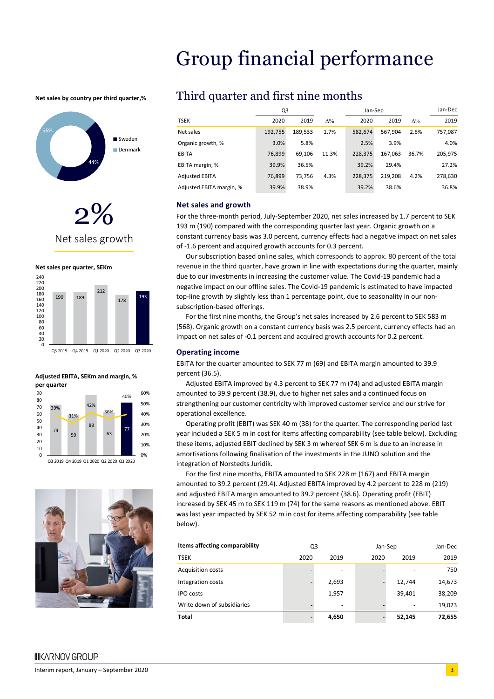### Group financial performance

**Net sales by country per third quarter,%**









Q3 2019 Q4 2019 Q1 2020 Q2 2020 Q3 2020

#### **Adjusted EBITA, SEKm and margin, % per quarter**



Q3 2019 Q4 2019 Q1 2020 Q2 2020 Q3 2020



### Third quarter and first nine months

|                          | Q3      |         |            | Jan-Sep |         |            | Jan-Dec |
|--------------------------|---------|---------|------------|---------|---------|------------|---------|
| <b>TSEK</b>              | 2020    | 2019    | $\Delta\%$ | 2020    | 2019    | $\Delta\%$ | 2019    |
| Net sales                | 192,755 | 189,533 | 1.7%       | 582.674 | 567.904 | 2.6%       | 757,087 |
| Organic growth, %        | 3.0%    | 5.8%    |            | 2.5%    | 3.9%    |            | 4.0%    |
| <b>EBITA</b>             | 76,899  | 69.106  | 11.3%      | 228.375 | 167.063 | 36.7%      | 205,975 |
| EBITA margin, %          | 39.9%   | 36.5%   |            | 39.2%   | 29.4%   |            | 27.2%   |
| <b>Adjusted EBITA</b>    | 76.899  | 73.756  | 4.3%       | 228.375 | 219.208 | 4.2%       | 278,630 |
| Adjusted EBITA margin, % | 39.9%   | 38.9%   |            | 39.2%   | 38.6%   |            | 36.8%   |

#### **Net sales and growth**

For the three-month period, July-September 2020, net sales increased by 1.7 percent to SEK 193 m (190) compared with the corresponding quarter last year. Organic growth on a constant currency basis was 3.0 percent, currency effects had a negative impact on net sales of -1.6 percent and acquired growth accounts for 0.3 percent.

Our subscription based online sales, which corresponds to approx. 80 percent of the total revenue in the third quarter, have grown in line with expectations during the quarter, mainly due to our investments in increasing the customer value. The Covid-19 pandemic had a negative impact on our offline sales. The Covid-19 pandemic is estimated to have impacted top-line growth by slightly less than 1 percentage point, due to seasonality in our nonsubscription-based offerings.

For the first nine months, the Group's net sales increased by 2.6 percent to SEK 583 m (568). Organic growth on a constant currency basis was 2.5 percent, currency effects had an impact on net sales of -0.1 percent and acquired growth accounts for 0.2 percent.

#### **Operating income**

EBITA for the quarter amounted to SEK 77 m (69) and EBITA margin amounted to 39.9 percent (36.5).

Adjusted EBITA improved by 4.3 percent to SEK 77 m (74) and adjusted EBITA margin amounted to 39.9 percent (38.9), due to higher net sales and a continued focus on strengthening our customer centricity with improved customer service and our strive for operational excellence.

Operating profit (EBIT) was SEK 40 m (38) for the quarter. The corresponding period last year included a SEK 5 m in cost for items affecting comparability (see table below). Excluding these items, adjusted EBIT declined by SEK 3 m whereof SEK 6 m is due to an increase in amortisations following finalisation of the investments in the JUNO solution and the integration of Norstedts Juridik.

For the first nine months, EBITA amounted to SEK 228 m (167) and EBITA margin amounted to 39.2 percent (29.4). Adjusted EBITA improved by 4.2 percent to 228 m (219) and adjusted EBITA margin amounted to 39.2 percent (38.6). Operating profit (EBIT) increased by SEK 45 m to SEK 119 m (74) for the same reasons as mentioned above. EBIT was last year impacted by SEK 52 m in cost for items affecting comparability (see table below).

| Items affecting comparability | Q3   |       |      | Jan-Sep |        |  |
|-------------------------------|------|-------|------|---------|--------|--|
| <b>TSEK</b>                   | 2020 | 2019  | 2020 | 2019    | 2019   |  |
| <b>Acquisition costs</b>      |      |       |      |         | 750    |  |
| Integration costs             |      | 2,693 |      | 12.744  | 14,673 |  |
| <b>IPO</b> costs              |      | 1,957 |      | 39,401  | 38,209 |  |
| Write down of subsidiaries    |      |       |      |         | 19,023 |  |
| <b>Total</b>                  |      | 4,650 |      | 52,145  | 72,655 |  |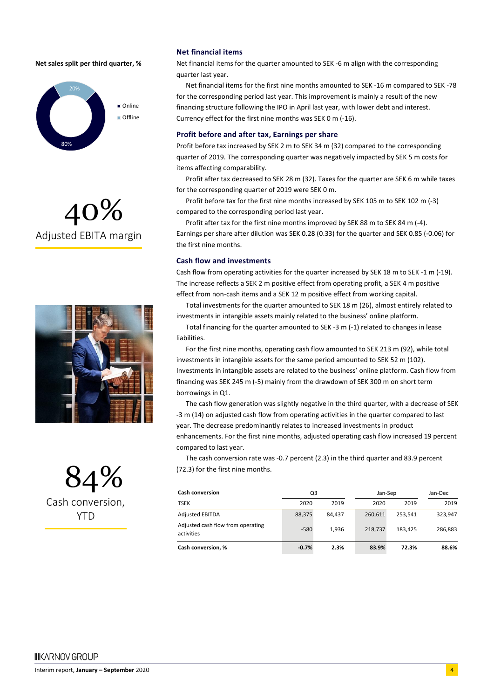#### **Net sales split per third quarter, %**



## 40% Adjusted EBITA margin



84% Cash conversion, **YTD** 

#### **Net financial items**

Net financial items for the quarter amounted to SEK -6 m align with the corresponding quarter last year.

Net financial items for the first nine months amounted to SEK -16 m compared to SEK -78 for the corresponding period last year. This improvement is mainly a result of the new financing structure following the IPO in April last year, with lower debt and interest. Currency effect for the first nine months was SEK 0 m (-16).

#### **Profit before and after tax, Earnings per share**

Profit before tax increased by SEK 2 m to SEK 34 m (32) compared to the corresponding quarter of 2019. The corresponding quarter was negatively impacted by SEK 5 m costs for items affecting comparability.

Profit after tax decreased to SEK 28 m (32). Taxes for the quarter are SEK 6 m while taxes for the corresponding quarter of 2019 were SEK 0 m.

Profit before tax for the first nine months increased by SEK 105 m to SEK 102 m (-3) compared to the corresponding period last year.

Profit after tax for the first nine months improved by SEK 88 m to SEK 84 m (-4). Earnings per share after dilution was SEK 0.28 (0.33) for the quarter and SEK 0.85 (-0.06) for the first nine months.

#### **Cash flow and investments**

Cash flow from operating activities for the quarter increased by SEK 18 m to SEK -1 m (-19). The increase reflects a SEK 2 m positive effect from operating profit, a SEK 4 m positive effect from non-cash items and a SEK 12 m positive effect from working capital.

Total investments for the quarter amounted to SEK 18 m (26), almost entirely related to investments in intangible assets mainly related to the business' online platform.

Total financing for the quarter amounted to SEK -3 m (-1) related to changes in lease liabilities.

For the first nine months, operating cash flow amounted to SEK 213 m (92), while total investments in intangible assets for the same period amounted to SEK 52 m (102). Investments in intangible assets are related to the business' online platform. Cash flow from financing was SEK 245 m (-5) mainly from the drawdown of SEK 300 m on short term borrowings in Q1.

The cash flow generation was slightly negative in the third quarter, with a decrease of SEK -3 m (14) on adjusted cash flow from operating activities in the quarter compared to last year. The decrease predominantly relates to increased investments in product enhancements. For the first nine months, adjusted operating cash flow increased 19 percent compared to last year.

The cash conversion rate was -0.7 percent (2.3) in the third quarter and 83.9 percent (72.3) for the first nine months.

| <b>Cash conversion</b>                          | Q3      |        |         | Jan-Sep |         |
|-------------------------------------------------|---------|--------|---------|---------|---------|
| <b>TSEK</b>                                     | 2020    | 2019   | 2020    | 2019    | 2019    |
| <b>Adjusted EBITDA</b>                          | 88,375  | 84.437 | 260.611 | 253.541 | 323.947 |
| Adjusted cash flow from operating<br>activities | $-580$  | 1.936  | 218.737 | 183.425 | 286,883 |
| Cash conversion, %                              | $-0.7%$ | 2.3%   | 83.9%   | 72.3%   | 88.6%   |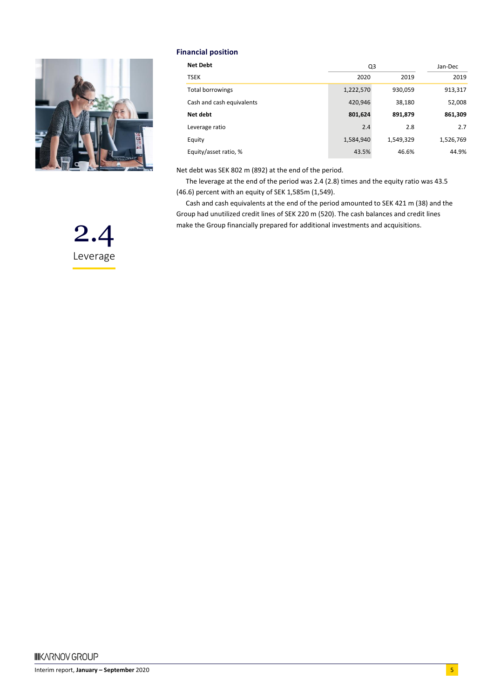

#### **Financial position**

| <b>Net Debt</b>           | Q3        | Jan-Dec   |           |
|---------------------------|-----------|-----------|-----------|
| <b>TSEK</b>               | 2020      | 2019      | 2019      |
| Total borrowings          | 1,222,570 | 930,059   | 913,317   |
| Cash and cash equivalents | 420,946   | 38,180    | 52,008    |
| Net debt                  | 801,624   | 891,879   | 861,309   |
| Leverage ratio            | 2.4       | 2.8       | 2.7       |
| Equity                    | 1,584,940 | 1,549,329 | 1,526,769 |
| Equity/asset ratio, %     | 43.5%     | 46.6%     | 44.9%     |

Net debt was SEK 802 m (892) at the end of the period.

The leverage at the end of the period was 2.4 (2.8) times and the equity ratio was 43.5 (46.6) percent with an equity of SEK 1,585m (1,549).

Cash and cash equivalents at the end of the period amounted to SEK 421 m (38) and the Group had unutilized credit lines of SEK 220 m (520). The cash balances and credit lines make the Group financially prepared for additional investments and acquisitions.

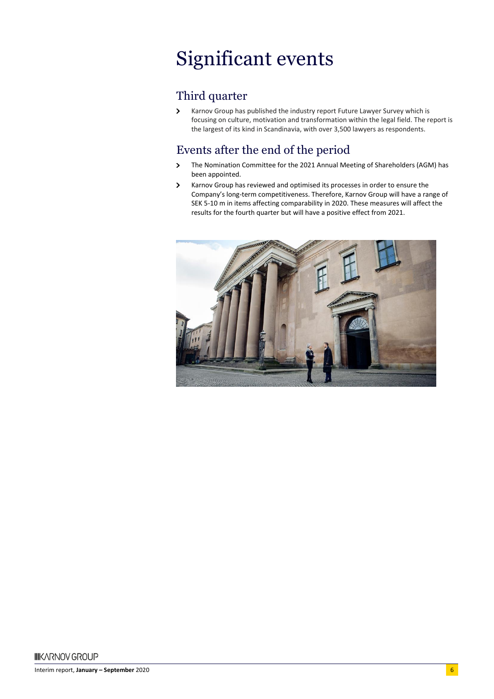# Significant events

### Third quarter

 $\,$ Karnov Group has published the industry report Future Lawyer Survey which is focusing on culture, motivation and transformation within the legal field. The report is the largest of its kind in Scandinavia, with over 3,500 lawyers as respondents.

### Events after the end of the period

- The Nomination Committee for the 2021 Annual Meeting of Shareholders (AGM) has  $\rightarrow$ been appointed.
- $\rightarrow$ Karnov Group has reviewed and optimised its processes in order to ensure the Company's long-term competitiveness. Therefore, Karnov Group will have a range of SEK 5-10 m in items affecting comparability in 2020. These measures will affect the results for the fourth quarter but will have a positive effect from 2021.

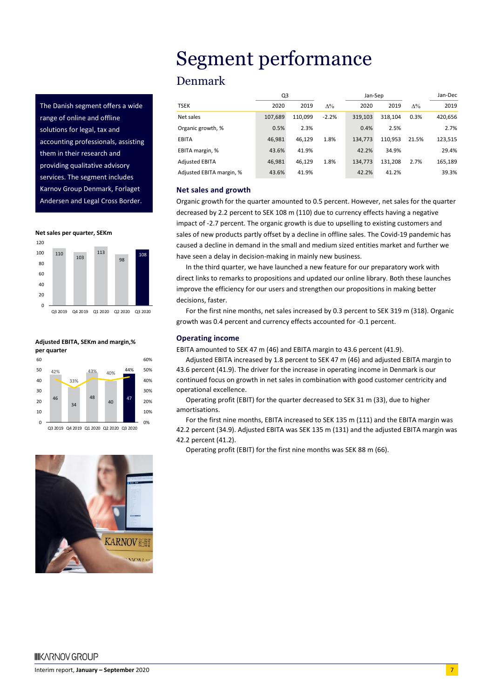The Danish segment offers a wide range of online and offline solutions for legal, tax and accounting professionals, assisting them in their research and providing qualitative advisory services. The segment includes Karnov Group Denmark, Forlaget Andersen and Legal Cross Border.







# Segment performance

### Denmark

|                          | Q3      |         |            | Jan-Sep |         |            | Jan-Dec |
|--------------------------|---------|---------|------------|---------|---------|------------|---------|
| <b>TSEK</b>              | 2020    | 2019    | $\Delta\%$ | 2020    | 2019    | $\Delta\%$ | 2019    |
| Net sales                | 107,689 | 110.099 | $-2.2%$    | 319.103 | 318,104 | 0.3%       | 420,656 |
| Organic growth, %        | 0.5%    | 2.3%    |            | 0.4%    | 2.5%    |            | 2.7%    |
| <b>EBITA</b>             | 46,981  | 46.129  | 1.8%       | 134.773 | 110.953 | 21.5%      | 123,515 |
| EBITA margin, %          | 43.6%   | 41.9%   |            | 42.2%   | 34.9%   |            | 29.4%   |
| <b>Adjusted EBITA</b>    | 46.981  | 46.129  | 1.8%       | 134.773 | 131.208 | 2.7%       | 165,189 |
| Adjusted EBITA margin, % | 43.6%   | 41.9%   |            | 42.2%   | 41.2%   |            | 39.3%   |

#### **Net sales and growth**

Organic growth for the quarter amounted to 0.5 percent. However, net sales for the quarter decreased by 2.2 percent to SEK 108 m (110) due to currency effects having a negative impact of -2.7 percent. The organic growth is due to upselling to existing customers and sales of new products partly offset by a decline in offline sales. The Covid-19 pandemic has caused a decline in demand in the small and medium sized entities market and further we have seen a delay in decision-making in mainly new business.

In the third quarter, we have launched a new feature for our preparatory work with direct links to remarks to propositions and updated our online library. Both these launches improve the efficiency for our users and strengthen our propositions in making better decisions, faster.

For the first nine months, net sales increased by 0.3 percent to SEK 319 m (318). Organic growth was 0.4 percent and currency effects accounted for -0.1 percent.

#### **Operating income**

EBITA amounted to SEK 47 m (46) and EBITA margin to 43.6 percent (41.9).

Adjusted EBITA increased by 1.8 percent to SEK 47 m (46) and adjusted EBITA margin to 43.6 percent (41.9). The driver for the increase in operating income in Denmark is our continued focus on growth in net sales in combination with good customer centricity and operational excellence.

Operating profit (EBIT) for the quarter decreased to SEK 31 m (33), due to higher amortisations.

For the first nine months, EBITA increased to SEK 135 m (111) and the EBITA margin was 42.2 percent (34.9). Adjusted EBITA was SEK 135 m (131) and the adjusted EBITA margin was 42.2 percent (41.2).

Operating profit (EBIT) for the first nine months was SEK 88 m (66).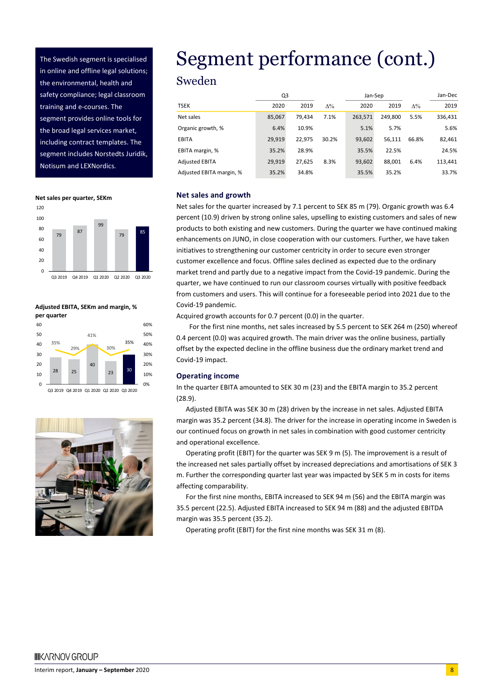The Swedish segment is specialised in online and offline legal solutions; the environmental, health and safety compliance; legal classroom training and e-courses. The segment provides online tools for the broad legal services market, including contract templates. The segment includes Norstedts Juridik, Notisum and LEXNordics.

**Net sales per quarter, SEKm**



#### **Adjusted EBITA, SEKm and margin, % per quarter**



Q3 2019 Q4 2019 Q1 2020 Q2 2020 Q3 2020



# Segment performance (cont.)

### Sweden

|                          | Q3     |        |            | Jan-Sep |         |            | Jan-Dec |
|--------------------------|--------|--------|------------|---------|---------|------------|---------|
| <b>TSEK</b>              | 2020   | 2019   | $\Delta\%$ | 2020    | 2019    | $\Delta\%$ | 2019    |
| Net sales                | 85,067 | 79.434 | 7.1%       | 263,571 | 249.800 | 5.5%       | 336,431 |
| Organic growth, %        | 6.4%   | 10.9%  |            | 5.1%    | 5.7%    |            | 5.6%    |
| <b>EBITA</b>             | 29.919 | 22.975 | 30.2%      | 93,602  | 56.111  | 66.8%      | 82,461  |
| EBITA margin, %          | 35.2%  | 28.9%  |            | 35.5%   | 22.5%   |            | 24.5%   |
| <b>Adjusted EBITA</b>    | 29.919 | 27.625 | 8.3%       | 93,602  | 88.001  | 6.4%       | 113,441 |
| Adjusted EBITA margin, % | 35.2%  | 34.8%  |            | 35.5%   | 35.2%   |            | 33.7%   |

#### **Net sales and growth**

Net sales for the quarter increased by 7.1 percent to SEK 85 m (79). Organic growth was 6.4 percent (10.9) driven by strong online sales, upselling to existing customers and sales of new products to both existing and new customers. During the quarter we have continued making enhancements on JUNO, in close cooperation with our customers. Further, we have taken initiatives to strengthening our customer centricity in order to secure even stronger customer excellence and focus. Offline sales declined as expected due to the ordinary market trend and partly due to a negative impact from the Covid-19 pandemic. During the quarter, we have continued to run our classroom courses virtually with positive feedback from customers and users. This will continue for a foreseeable period into 2021 due to the Covid-19 pandemic.

Acquired growth accounts for 0.7 percent (0.0) in the quarter.

For the first nine months, net sales increased by 5.5 percent to SEK 264 m (250) whereof 0.4 percent (0.0) was acquired growth. The main driver was the online business, partially offset by the expected decline in the offline business due the ordinary market trend and Covid-19 impact.

#### **Operating income**

In the quarter EBITA amounted to SEK 30 m (23) and the EBITA margin to 35.2 percent (28.9).

Adjusted EBITA was SEK 30 m (28) driven by the increase in net sales. Adjusted EBITA margin was 35.2 percent (34.8). The driver for the increase in operating income in Sweden is our continued focus on growth in net sales in combination with good customer centricity and operational excellence.

Operating profit (EBIT) for the quarter was SEK 9 m (5). The improvement is a result of the increased net sales partially offset by increased depreciations and amortisations of SEK 3 m. Further the corresponding quarter last year was impacted by SEK 5 m in costs for items affecting comparability.

For the first nine months, EBITA increased to SEK 94 m (56) and the EBITA margin was 35.5 percent (22.5). Adjusted EBITA increased to SEK 94 m (88) and the adjusted EBITDA margin was 35.5 percent (35.2).

Operating profit (EBIT) for the first nine months was SEK 31 m (8).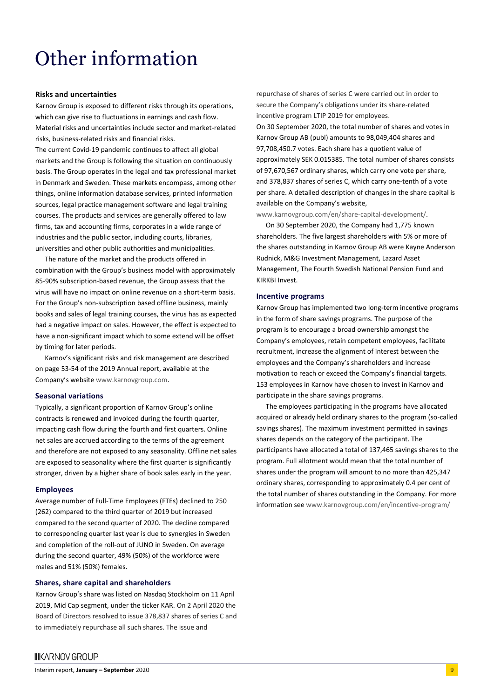### Other information

#### **Risks and uncertainties**

Karnov Group is exposed to different risks through its operations, which can give rise to fluctuations in earnings and cash flow. Material risks and uncertainties include sector and market-related risks, business-related risks and financial risks.

The current Covid-19 pandemic continues to affect all global markets and the Group is following the situation on continuously basis. The Group operates in the legal and tax professional market in Denmark and Sweden. These markets encompass, among other things, online information database services, printed information sources, legal practice management software and legal training courses. The products and services are generally offered to law firms, tax and accounting firms, corporates in a wide range of industries and the public sector, including courts, libraries, universities and other public authorities and municipalities.

The nature of the market and the products offered in combination with the Group's business model with approximately 85-90% subscription-based revenue, the Group assess that the virus will have no impact on online revenue on a short-term basis. For the Group's non-subscription based offline business, mainly books and sales of legal training courses, the virus has as expected had a negative impact on sales. However, the effect is expected to have a non-significant impact which to some extend will be offset by timing for later periods.

Karnov's significant risks and risk management are described on page 53-54 of the 2019 Annual report, available at the Company's website [www.karnovgroup.com.](http://www.karnovgroup.com/)

#### **Seasonal variations**

Typically, a significant proportion of Karnov Group's online contracts is renewed and invoiced during the fourth quarter, impacting cash flow during the fourth and first quarters. Online net sales are accrued according to the terms of the agreement and therefore are not exposed to any seasonality. Offline net sales are exposed to seasonality where the first quarter is significantly stronger, driven by a higher share of book sales early in the year.

#### **Employees**

Average number of Full-Time Employees (FTEs) declined to 250 (262) compared to the third quarter of 2019 but increased compared to the second quarter of 2020. The decline compared to corresponding quarter last year is due to synergies in Sweden and completion of the roll-out of JUNO in Sweden. On average during the second quarter, 49% (50%) of the workforce were males and 51% (50%) females.

#### **Shares, share capital and shareholders**

Karnov Group's share was listed on Nasdaq Stockholm on 11 April 2019, Mid Cap segment, under the ticker KAR. On 2 April 2020 the Board of Directors resolved to issue 378,837 shares of series C and to immediately repurchase all such shares. The issue and

repurchase of shares of series C were carried out in order to secure the Company's obligations under its share-related incentive program LTIP 2019 for employees. On 30 September 2020, the total number of shares and votes in Karnov Group AB (publ) amounts to 98,049,404 shares and 97,708,450.7 votes. Each share has a quotient value of approximately SEK 0.015385. The total number of shares consists of 97,670,567 ordinary shares, which carry one vote per share, and 378,837 shares of series C, which carry one-tenth of a vote per share. A detailed description of changes in the share capital is available on the Company's website,

[www.karnovgroup.com/en/share-capital-development/.](http://www.karnovgroup.com/en/share-capital-development/) 

On 30 September 2020, the Company had 1,775 known shareholders. The five largest shareholders with 5% or more of the shares outstanding in Karnov Group AB were Kayne Anderson Rudnick, M&G Investment Management, Lazard Asset Management, The Fourth Swedish National Pension Fund and KIRKBI Invest.

#### **Incentive programs**

Karnov Group has implemented two long-term incentive programs in the form of share savings programs. The purpose of the program is to encourage a broad ownership amongst the Company's employees, retain competent employees, facilitate recruitment, increase the alignment of interest between the employees and the Company's shareholders and increase motivation to reach or exceed the Company's financial targets. 153 employees in Karnov have chosen to invest in Karnov and participate in the share savings programs.

The employees participating in the programs have allocated acquired or already held ordinary shares to the program (so-called savings shares). The maximum investment permitted in savings shares depends on the category of the participant. The participants have allocated a total of 137,465 savings shares to the program. Full allotment would mean that the total number of shares under the program will amount to no more than 425,347 ordinary shares, corresponding to approximately 0.4 per cent of the total number of shares outstanding in the Company. For more information see [www.karnovgroup.com/en/incentive-program/](http://www.karnovgroup.com/en/incentive-program/)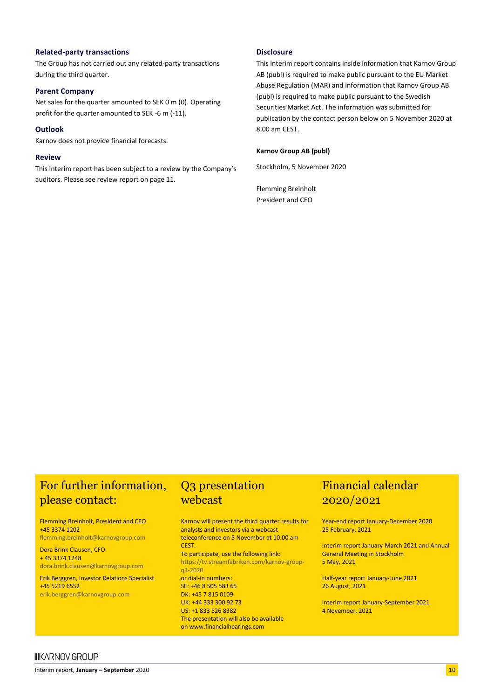#### **Related-party transactions**

The Group has not carried out any related-party transactions during the third quarter.

#### **Parent Company**

Net sales for the quarter amounted to SEK 0 m (0). Operating profit for the quarter amounted to SEK -6 m (-11).

#### **Outlook**

Karnov does not provide financial forecasts.

#### **Review**

This interim report has been subject to a review by the Company's auditors. Please see review report on page 11.

#### **Disclosure**

This interim report contains inside information that Karnov Group AB (publ) is required to make public pursuant to the EU Market Abuse Regulation (MAR) and information that Karnov Group AB (publ) is required to make public pursuant to the Swedish Securities Market Act. The information was submitted for publication by the contact person below on 5 November 2020 at 8.00 am CEST.

#### **Karnov Group AB (publ)**

Stockholm, 5 November 2020

Flemming Breinholt President and CEO

### For further information, Q3 presentation please contact:

Flemming Breinholt, President and CEO +45 3374 1202 [flemming.breinholt@karnovgroup.com](mailto:flemming.breinholt@karnovgroup.com)

Dora Brink Clausen, CFO + 45 3374 1248

[dora.brink.clausen@karnovgroup.com](mailto:dora.brink.clausen@karnovgroup.com) Erik Berggren, Investor Relations Specialist +45 5219 6552

[erik.berggren@karnovgroup.com](mailto:erik.berggren@karnovgroup.com)

# webcast

Karnov will present the third quarter results for analysts and investors via a webcast teleconference on 5 November at 10.00 am CEST.

To participate, use the following link: [https://tv.streamfabriken.com/karnov-group](https://tv.streamfabriken.com/karnov-group-q3-2020)[q3-2020](https://tv.streamfabriken.com/karnov-group-q3-2020) or dial-in numbers: SE: +46 8 505 583 65 DK: +45 7 815 0109 UK: +44 333 300 92 73

US: +1 833 526 8382 The presentation will also be available on [www.financialhearings.com](http://www.financialhearings.com/)

### Financial calendar 2020/2021

Year-end report January-December 2020 25 February, 2021

Interim report January-March 2021 and Annual General Meeting in Stockholm 5 May, 2021

Half-year report January-June 2021 26 August, 2021

Interim report January-September 2021 4 November, 2021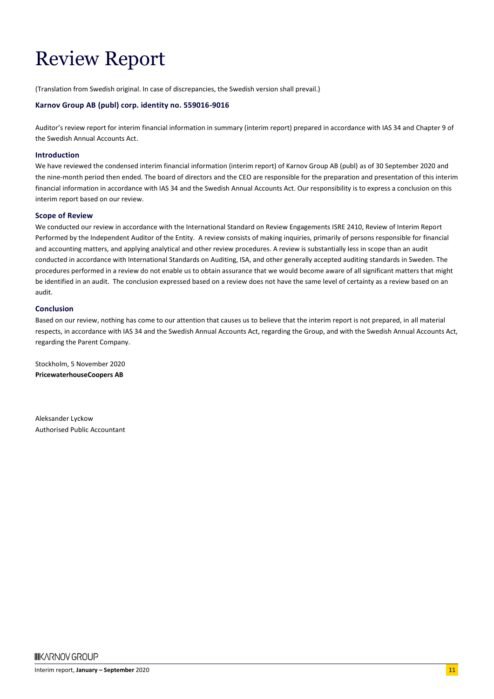# Review Report

(Translation from Swedish original. In case of discrepancies, the Swedish version shall prevail.)

#### **Karnov Group AB (publ) corp. identity no. 559016-9016**

Auditor's review report for interim financial information in summary (interim report) prepared in accordance with IAS 34 and Chapter 9 of the Swedish Annual Accounts Act.

#### **Introduction**

We have reviewed the condensed interim financial information (interim report) of Karnov Group AB (publ) as of 30 September 2020 and the nine-month period then ended. The board of directors and the CEO are responsible for the preparation and presentation of this interim financial information in accordance with IAS 34 and the Swedish Annual Accounts Act. Our responsibility is to express a conclusion on this interim report based on our review.

#### **Scope of Review**

We conducted our review in accordance with the International Standard on Review Engagements ISRE 2410, Review of Interim Report Performed by the Independent Auditor of the Entity. A review consists of making inquiries, primarily of persons responsible for financial and accounting matters, and applying analytical and other review procedures. A review is substantially less in scope than an audit conducted in accordance with International Standards on Auditing, ISA, and other generally accepted auditing standards in Sweden. The procedures performed in a review do not enable us to obtain assurance that we would become aware of all significant matters that might be identified in an audit. The conclusion expressed based on a review does not have the same level of certainty as a review based on an audit.

#### **Conclusion**

Based on our review, nothing has come to our attention that causes us to believe that the interim report is not prepared, in all material respects, in accordance with IAS 34 and the Swedish Annual Accounts Act, regarding the Group, and with the Swedish Annual Accounts Act, regarding the Parent Company.

Stockholm, 5 November 2020 **PricewaterhouseCoopers AB**

Aleksander Lyckow Authorised Public Accountant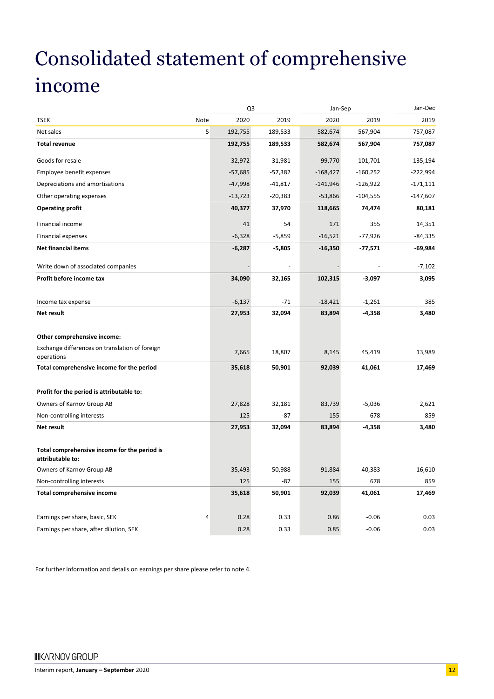# Consolidated statement of comprehensive income

| 2020<br>2019<br>2020<br>2019<br>2019<br><b>TSEK</b><br>Note<br>5<br>192,755<br>757,087<br>Net sales<br>189,533<br>582,674<br>567,904<br><b>Total revenue</b><br>192,755<br>189,533<br>582,674<br>567,904<br>757,087<br>$-32,972$<br>$-99,770$<br>$-135,194$<br>Goods for resale<br>$-31,981$<br>$-101,701$<br>$-57,685$<br>$-160,252$<br>Employee benefit expenses<br>$-57,382$<br>-168,427<br>-222,994<br>Depreciations and amortisations<br>$-47,998$<br>$-41,817$<br>$-141,946$<br>$-126,922$<br>$-171,111$<br>Other operating expenses<br>$-13,723$<br>$-20,383$<br>$-53,866$<br>$-104,555$<br>$-147,607$<br><b>Operating profit</b><br>40,377<br>74,474<br>80,181<br>37,970<br>118,665<br>Financial income<br>54<br>355<br>41<br>171<br>14,351<br>$-6,328$<br>$-5,859$<br>$-16,521$<br>$-77,926$<br>$-84,335$<br><b>Financial expenses</b><br><b>Net financial items</b><br>$-5,805$<br>$-69,984$<br>$-6,287$<br>$-16,350$<br>$-77,571$<br>Write down of associated companies<br>$-7,102$<br>Profit before income tax<br>34,090<br>32,165<br>102,315<br>$-3,097$<br>3,095<br>$-6,137$<br>$-71$<br>$-18,421$<br>$-1,261$<br>385<br>Income tax expense<br>27,953<br>32,094<br>$-4,358$<br>3,480<br>Net result<br>83,894<br>Other comprehensive income:<br>Exchange differences on translation of foreign<br>7,665<br>18,807<br>45,419<br>13,989<br>8,145<br>operations<br>Total comprehensive income for the period<br>35,618<br>50,901<br>92,039<br>41,061<br>17,469<br>Profit for the period is attributable to:<br>Owners of Karnov Group AB<br>27,828<br>83,739<br>$-5,036$<br>2,621<br>32,181<br>Non-controlling interests<br>125<br>$-87$<br>155<br>678<br>859<br>27,953<br>3,480<br><b>Net result</b><br>32,094<br>83,894<br>$-4,358$<br>Total comprehensive income for the period is<br>attributable to:<br>Owners of Karnov Group AB<br>35,493<br>50,988<br>91,884<br>40,383<br>16,610<br>Non-controlling interests<br>125<br>$-87$<br>678<br>859<br>155<br>35,618<br>41,061<br>17,469<br><b>Total comprehensive income</b><br>50,901<br>92,039<br>Earnings per share, basic, SEK<br>4<br>0.28<br>0.33<br>0.86<br>$-0.06$<br>0.03<br>Earnings per share, after dilution, SEK<br>0.28<br>0.33<br>0.85<br>$-0.06$<br>0.03 | Q3 | Jan-Sep | Jan-Dec |
|-------------------------------------------------------------------------------------------------------------------------------------------------------------------------------------------------------------------------------------------------------------------------------------------------------------------------------------------------------------------------------------------------------------------------------------------------------------------------------------------------------------------------------------------------------------------------------------------------------------------------------------------------------------------------------------------------------------------------------------------------------------------------------------------------------------------------------------------------------------------------------------------------------------------------------------------------------------------------------------------------------------------------------------------------------------------------------------------------------------------------------------------------------------------------------------------------------------------------------------------------------------------------------------------------------------------------------------------------------------------------------------------------------------------------------------------------------------------------------------------------------------------------------------------------------------------------------------------------------------------------------------------------------------------------------------------------------------------------------------------------------------------------------------------------------------------------------------------------------------------------------------------------------------------------------------------------------------------------------------------------------------------------------------------------------------------------------------------------------------------------------------------------------------------------------------------------------------------------------------|----|---------|---------|
|                                                                                                                                                                                                                                                                                                                                                                                                                                                                                                                                                                                                                                                                                                                                                                                                                                                                                                                                                                                                                                                                                                                                                                                                                                                                                                                                                                                                                                                                                                                                                                                                                                                                                                                                                                                                                                                                                                                                                                                                                                                                                                                                                                                                                                     |    |         |         |
|                                                                                                                                                                                                                                                                                                                                                                                                                                                                                                                                                                                                                                                                                                                                                                                                                                                                                                                                                                                                                                                                                                                                                                                                                                                                                                                                                                                                                                                                                                                                                                                                                                                                                                                                                                                                                                                                                                                                                                                                                                                                                                                                                                                                                                     |    |         |         |
|                                                                                                                                                                                                                                                                                                                                                                                                                                                                                                                                                                                                                                                                                                                                                                                                                                                                                                                                                                                                                                                                                                                                                                                                                                                                                                                                                                                                                                                                                                                                                                                                                                                                                                                                                                                                                                                                                                                                                                                                                                                                                                                                                                                                                                     |    |         |         |
|                                                                                                                                                                                                                                                                                                                                                                                                                                                                                                                                                                                                                                                                                                                                                                                                                                                                                                                                                                                                                                                                                                                                                                                                                                                                                                                                                                                                                                                                                                                                                                                                                                                                                                                                                                                                                                                                                                                                                                                                                                                                                                                                                                                                                                     |    |         |         |
|                                                                                                                                                                                                                                                                                                                                                                                                                                                                                                                                                                                                                                                                                                                                                                                                                                                                                                                                                                                                                                                                                                                                                                                                                                                                                                                                                                                                                                                                                                                                                                                                                                                                                                                                                                                                                                                                                                                                                                                                                                                                                                                                                                                                                                     |    |         |         |
|                                                                                                                                                                                                                                                                                                                                                                                                                                                                                                                                                                                                                                                                                                                                                                                                                                                                                                                                                                                                                                                                                                                                                                                                                                                                                                                                                                                                                                                                                                                                                                                                                                                                                                                                                                                                                                                                                                                                                                                                                                                                                                                                                                                                                                     |    |         |         |
|                                                                                                                                                                                                                                                                                                                                                                                                                                                                                                                                                                                                                                                                                                                                                                                                                                                                                                                                                                                                                                                                                                                                                                                                                                                                                                                                                                                                                                                                                                                                                                                                                                                                                                                                                                                                                                                                                                                                                                                                                                                                                                                                                                                                                                     |    |         |         |
|                                                                                                                                                                                                                                                                                                                                                                                                                                                                                                                                                                                                                                                                                                                                                                                                                                                                                                                                                                                                                                                                                                                                                                                                                                                                                                                                                                                                                                                                                                                                                                                                                                                                                                                                                                                                                                                                                                                                                                                                                                                                                                                                                                                                                                     |    |         |         |
|                                                                                                                                                                                                                                                                                                                                                                                                                                                                                                                                                                                                                                                                                                                                                                                                                                                                                                                                                                                                                                                                                                                                                                                                                                                                                                                                                                                                                                                                                                                                                                                                                                                                                                                                                                                                                                                                                                                                                                                                                                                                                                                                                                                                                                     |    |         |         |
|                                                                                                                                                                                                                                                                                                                                                                                                                                                                                                                                                                                                                                                                                                                                                                                                                                                                                                                                                                                                                                                                                                                                                                                                                                                                                                                                                                                                                                                                                                                                                                                                                                                                                                                                                                                                                                                                                                                                                                                                                                                                                                                                                                                                                                     |    |         |         |
|                                                                                                                                                                                                                                                                                                                                                                                                                                                                                                                                                                                                                                                                                                                                                                                                                                                                                                                                                                                                                                                                                                                                                                                                                                                                                                                                                                                                                                                                                                                                                                                                                                                                                                                                                                                                                                                                                                                                                                                                                                                                                                                                                                                                                                     |    |         |         |
|                                                                                                                                                                                                                                                                                                                                                                                                                                                                                                                                                                                                                                                                                                                                                                                                                                                                                                                                                                                                                                                                                                                                                                                                                                                                                                                                                                                                                                                                                                                                                                                                                                                                                                                                                                                                                                                                                                                                                                                                                                                                                                                                                                                                                                     |    |         |         |
|                                                                                                                                                                                                                                                                                                                                                                                                                                                                                                                                                                                                                                                                                                                                                                                                                                                                                                                                                                                                                                                                                                                                                                                                                                                                                                                                                                                                                                                                                                                                                                                                                                                                                                                                                                                                                                                                                                                                                                                                                                                                                                                                                                                                                                     |    |         |         |
|                                                                                                                                                                                                                                                                                                                                                                                                                                                                                                                                                                                                                                                                                                                                                                                                                                                                                                                                                                                                                                                                                                                                                                                                                                                                                                                                                                                                                                                                                                                                                                                                                                                                                                                                                                                                                                                                                                                                                                                                                                                                                                                                                                                                                                     |    |         |         |
|                                                                                                                                                                                                                                                                                                                                                                                                                                                                                                                                                                                                                                                                                                                                                                                                                                                                                                                                                                                                                                                                                                                                                                                                                                                                                                                                                                                                                                                                                                                                                                                                                                                                                                                                                                                                                                                                                                                                                                                                                                                                                                                                                                                                                                     |    |         |         |
|                                                                                                                                                                                                                                                                                                                                                                                                                                                                                                                                                                                                                                                                                                                                                                                                                                                                                                                                                                                                                                                                                                                                                                                                                                                                                                                                                                                                                                                                                                                                                                                                                                                                                                                                                                                                                                                                                                                                                                                                                                                                                                                                                                                                                                     |    |         |         |
|                                                                                                                                                                                                                                                                                                                                                                                                                                                                                                                                                                                                                                                                                                                                                                                                                                                                                                                                                                                                                                                                                                                                                                                                                                                                                                                                                                                                                                                                                                                                                                                                                                                                                                                                                                                                                                                                                                                                                                                                                                                                                                                                                                                                                                     |    |         |         |
|                                                                                                                                                                                                                                                                                                                                                                                                                                                                                                                                                                                                                                                                                                                                                                                                                                                                                                                                                                                                                                                                                                                                                                                                                                                                                                                                                                                                                                                                                                                                                                                                                                                                                                                                                                                                                                                                                                                                                                                                                                                                                                                                                                                                                                     |    |         |         |
|                                                                                                                                                                                                                                                                                                                                                                                                                                                                                                                                                                                                                                                                                                                                                                                                                                                                                                                                                                                                                                                                                                                                                                                                                                                                                                                                                                                                                                                                                                                                                                                                                                                                                                                                                                                                                                                                                                                                                                                                                                                                                                                                                                                                                                     |    |         |         |
|                                                                                                                                                                                                                                                                                                                                                                                                                                                                                                                                                                                                                                                                                                                                                                                                                                                                                                                                                                                                                                                                                                                                                                                                                                                                                                                                                                                                                                                                                                                                                                                                                                                                                                                                                                                                                                                                                                                                                                                                                                                                                                                                                                                                                                     |    |         |         |
|                                                                                                                                                                                                                                                                                                                                                                                                                                                                                                                                                                                                                                                                                                                                                                                                                                                                                                                                                                                                                                                                                                                                                                                                                                                                                                                                                                                                                                                                                                                                                                                                                                                                                                                                                                                                                                                                                                                                                                                                                                                                                                                                                                                                                                     |    |         |         |
|                                                                                                                                                                                                                                                                                                                                                                                                                                                                                                                                                                                                                                                                                                                                                                                                                                                                                                                                                                                                                                                                                                                                                                                                                                                                                                                                                                                                                                                                                                                                                                                                                                                                                                                                                                                                                                                                                                                                                                                                                                                                                                                                                                                                                                     |    |         |         |
|                                                                                                                                                                                                                                                                                                                                                                                                                                                                                                                                                                                                                                                                                                                                                                                                                                                                                                                                                                                                                                                                                                                                                                                                                                                                                                                                                                                                                                                                                                                                                                                                                                                                                                                                                                                                                                                                                                                                                                                                                                                                                                                                                                                                                                     |    |         |         |
|                                                                                                                                                                                                                                                                                                                                                                                                                                                                                                                                                                                                                                                                                                                                                                                                                                                                                                                                                                                                                                                                                                                                                                                                                                                                                                                                                                                                                                                                                                                                                                                                                                                                                                                                                                                                                                                                                                                                                                                                                                                                                                                                                                                                                                     |    |         |         |
|                                                                                                                                                                                                                                                                                                                                                                                                                                                                                                                                                                                                                                                                                                                                                                                                                                                                                                                                                                                                                                                                                                                                                                                                                                                                                                                                                                                                                                                                                                                                                                                                                                                                                                                                                                                                                                                                                                                                                                                                                                                                                                                                                                                                                                     |    |         |         |
|                                                                                                                                                                                                                                                                                                                                                                                                                                                                                                                                                                                                                                                                                                                                                                                                                                                                                                                                                                                                                                                                                                                                                                                                                                                                                                                                                                                                                                                                                                                                                                                                                                                                                                                                                                                                                                                                                                                                                                                                                                                                                                                                                                                                                                     |    |         |         |
|                                                                                                                                                                                                                                                                                                                                                                                                                                                                                                                                                                                                                                                                                                                                                                                                                                                                                                                                                                                                                                                                                                                                                                                                                                                                                                                                                                                                                                                                                                                                                                                                                                                                                                                                                                                                                                                                                                                                                                                                                                                                                                                                                                                                                                     |    |         |         |
|                                                                                                                                                                                                                                                                                                                                                                                                                                                                                                                                                                                                                                                                                                                                                                                                                                                                                                                                                                                                                                                                                                                                                                                                                                                                                                                                                                                                                                                                                                                                                                                                                                                                                                                                                                                                                                                                                                                                                                                                                                                                                                                                                                                                                                     |    |         |         |
|                                                                                                                                                                                                                                                                                                                                                                                                                                                                                                                                                                                                                                                                                                                                                                                                                                                                                                                                                                                                                                                                                                                                                                                                                                                                                                                                                                                                                                                                                                                                                                                                                                                                                                                                                                                                                                                                                                                                                                                                                                                                                                                                                                                                                                     |    |         |         |

For further information and details on earnings per share please refer to note 4.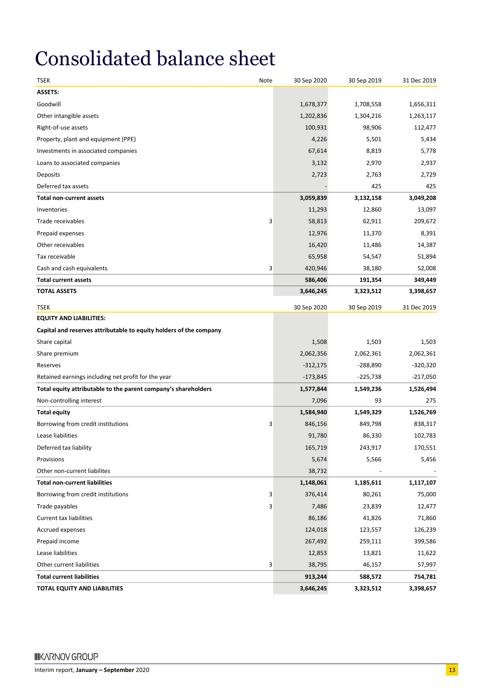# Consolidated balance sheet

| TSEK                                                               | Note | 30 Sep 2020 | 30 Sep 2019 | 31 Dec 2019 |
|--------------------------------------------------------------------|------|-------------|-------------|-------------|
| <b>ASSETS:</b>                                                     |      |             |             |             |
| Goodwill                                                           |      | 1,678,377   | 1,708,558   | 1,656,311   |
| Other intangible assets                                            |      | 1,202,836   | 1,304,216   | 1,263,117   |
| Right-of-use assets                                                |      | 100,931     | 98,906      | 112,477     |
| Property, plant and equipment (PPE)                                |      | 4,226       | 5,501       | 5,434       |
| Investments in associated companies                                |      | 67,614      | 8,819       | 5,778       |
| Loans to associated companies                                      |      | 3,132       | 2,970       | 2,937       |
| Deposits                                                           |      | 2,723       | 2,763       | 2,729       |
| Deferred tax assets                                                |      |             | 425         | 425         |
| <b>Total non-current assets</b>                                    |      | 3,059,839   | 3,132,158   | 3,049,208   |
| Inventories                                                        |      | 11,293      | 12,860      | 13,097      |
| Trade receivables                                                  | 3    | 58,813      | 62,911      | 209,672     |
| Prepaid expenses                                                   |      | 12,976      | 11,370      | 8,391       |
| Other receivables                                                  |      | 16,420      | 11,486      | 14,387      |
| Tax receivable                                                     |      | 65,958      | 54,547      | 51,894      |
| Cash and cash equivalents                                          | 3    | 420,946     | 38,180      | 52,008      |
| <b>Total current assets</b>                                        |      | 586,406     | 191,354     | 349,449     |
| <b>TOTAL ASSETS</b>                                                |      | 3,646,245   | 3,323,512   | 3,398,657   |
| TSEK                                                               |      | 30 Sep 2020 | 30 Sep 2019 | 31 Dec 2019 |
| <b>EQUITY AND LIABILITIES:</b>                                     |      |             |             |             |
| Capital and reserves attributable to equity holders of the company |      |             |             |             |
| Share capital                                                      |      | 1,508       | 1,503       | 1,503       |
| Share premium                                                      |      | 2,062,356   | 2,062,361   | 2,062,361   |
| Reserves                                                           |      | $-312,175$  | $-288,890$  | $-320,320$  |
| Retained earnings including net profit for the year                |      | $-173,845$  | $-225,738$  | $-217,050$  |
| Total equity attributable to the parent company's shareholders     |      | 1,577,844   | 1,549,236   | 1,526,494   |
| Non-controlling interest                                           |      | 7,096       | 93          | 275         |
| <b>Total equity</b>                                                |      | 1,584,940   | 1,549,329   | 1,526,769   |
| Borrowing from credit institutions                                 | 3    | 846,156     | 849,798     | 838,317     |
| Lease liabilities                                                  |      | 91,780      | 86,330      | 102,783     |
| Deferred tax liability                                             |      | 165,719     | 243,917     | 170,551     |
| Provisions                                                         |      | 5,674       | 5,566       | 5,456       |
| Other non-current liabilites                                       |      | 38,732      |             |             |
| <b>Total non-current liabilities</b>                               |      | 1,148,061   | 1,185,611   | 1,117,107   |
| Borrowing from credit institutions                                 | 3    | 376,414     | 80,261      | 75,000      |
| Trade payables                                                     | 3    | 7,486       | 23,839      | 12,477      |
| Current tax liabilities                                            |      | 86,186      | 41,826      | 71,860      |
| Accrued expenses                                                   |      | 124,018     | 123,557     | 126,239     |
| Prepaid income                                                     |      | 267,492     | 259,111     | 399,586     |
| Lease liabilities                                                  |      | 12,853      | 13,821      | 11,622      |
| Other current liabilities                                          | 3    | 38,795      | 46,157      | 57,997      |
| <b>Total current liabilities</b>                                   |      | 913,244     | 588,572     | 754,781     |
| TOTAL EQUITY AND LIABILITIES                                       |      | 3,646,245   | 3,323,512   | 3,398,657   |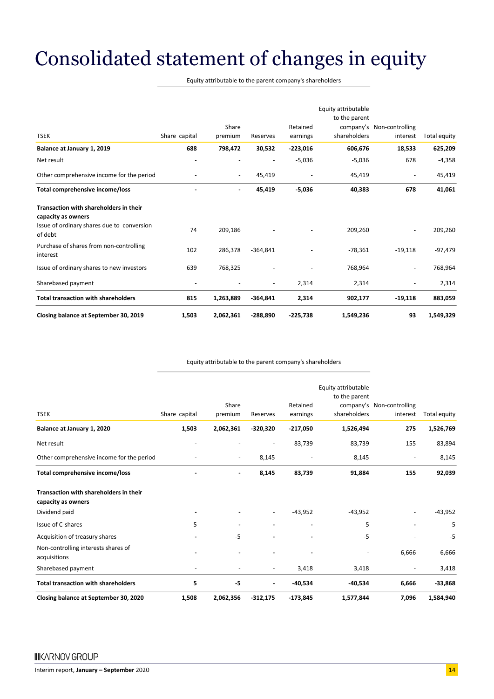# Consolidated statement of changes in equity

Equity attributable to the parent company's shareholders

|                                                                                                            |                          |                          |                          |                      | Equity attributable<br>to the parent |                                       |              |
|------------------------------------------------------------------------------------------------------------|--------------------------|--------------------------|--------------------------|----------------------|--------------------------------------|---------------------------------------|--------------|
| <b>TSEK</b>                                                                                                | Share capital            | Share<br>premium         | Reserves                 | Retained<br>earnings | shareholders                         | company's Non-controlling<br>interest | Total equity |
| Balance at January 1, 2019                                                                                 | 688                      | 798,472                  | 30,532                   | $-223,016$           | 606,676                              | 18,533                                | 625,209      |
| Net result                                                                                                 |                          |                          |                          | $-5,036$             | $-5,036$                             | 678                                   | $-4,358$     |
| Other comprehensive income for the period                                                                  |                          | $\overline{\phantom{a}}$ | 45,419                   |                      | 45,419                               |                                       | 45,419       |
| Total comprehensive income/loss                                                                            |                          | $\blacksquare$           | 45,419                   | $-5,036$             | 40,383                               | 678                                   | 41,061       |
| Transaction with shareholders in their<br>capacity as owners<br>Issue of ordinary shares due to conversion |                          |                          |                          |                      |                                      |                                       |              |
| of debt                                                                                                    | 74                       | 209,186                  |                          |                      | 209,260                              |                                       | 209,260      |
| Purchase of shares from non-controlling<br>interest                                                        | 102                      | 286,378                  | $-364,841$               |                      | $-78,361$                            | $-19,118$                             | $-97,479$    |
| Issue of ordinary shares to new investors                                                                  | 639                      | 768,325                  |                          |                      | 768,964                              |                                       | 768,964      |
| Sharebased payment                                                                                         | $\overline{\phantom{a}}$ |                          | $\overline{\phantom{a}}$ | 2,314                | 2,314                                | ٠                                     | 2,314        |
| <b>Total transaction with shareholders</b>                                                                 | 815                      | 1,263,889                | $-364,841$               | 2,314                | 902,177                              | $-19,118$                             | 883,059      |
| Closing balance at September 30, 2019                                                                      | 1,503                    | 2,062,361                | $-288,890$               | $-225,738$           | 1,549,236                            | 93                                    | 1,549,329    |

#### Equity attributable to the parent company's shareholders

| Closing balance at September 30, 2020               | 1,508                    | 2,062,356                | $-312,175$                   | $-173,845$           | 1,577,844                                            | 7,096                                 | 1,584,940    |
|-----------------------------------------------------|--------------------------|--------------------------|------------------------------|----------------------|------------------------------------------------------|---------------------------------------|--------------|
| <b>Total transaction with shareholders</b>          | 5                        | -5                       | $\qquad \qquad \blacksquare$ | $-40,534$            | $-40,534$                                            | 6,666                                 | $-33,868$    |
| Sharebased payment                                  | $\overline{\phantom{a}}$ | $\overline{\phantom{a}}$ | $\overline{\phantom{a}}$     | 3,418                | 3,418                                                | $\overline{\phantom{a}}$              | 3,418        |
| Non-controlling interests shares of<br>acquisitions |                          |                          |                              |                      |                                                      | 6.666                                 | 6,666        |
| Acquisition of treasury shares                      |                          | $-5$                     |                              |                      | $-5$                                                 |                                       | $-5$         |
| Issue of C-shares                                   | 5                        |                          |                              |                      | 5                                                    |                                       | 5            |
| capacity as owners<br>Dividend paid                 | $\overline{\phantom{a}}$ |                          | $\qquad \qquad \blacksquare$ | $-43,952$            | $-43,952$                                            |                                       | $-43,952$    |
| <b>Transaction with shareholders in their</b>       |                          |                          |                              |                      |                                                      |                                       |              |
| Total comprehensive income/loss                     |                          | $\blacksquare$           | 8,145                        | 83,739               | 91,884                                               | 155                                   | 92,039       |
| Other comprehensive income for the period           |                          | $\overline{\phantom{a}}$ | 8,145                        |                      | 8,145                                                | $\overline{\phantom{a}}$              | 8,145        |
| Net result                                          |                          |                          |                              | 83,739               | 83,739                                               | 155                                   | 83,894       |
| Balance at January 1, 2020                          | 1,503                    | 2,062,361                | $-320,320$                   | $-217,050$           | 1,526,494                                            | 275                                   | 1,526,769    |
| <b>TSEK</b>                                         | Share capital            | Share<br>premium         | Reserves                     | Retained<br>earnings | Equity attributable<br>to the parent<br>shareholders | company's Non-controlling<br>interest | Total equity |
|                                                     |                          |                          |                              |                      |                                                      |                                       |              |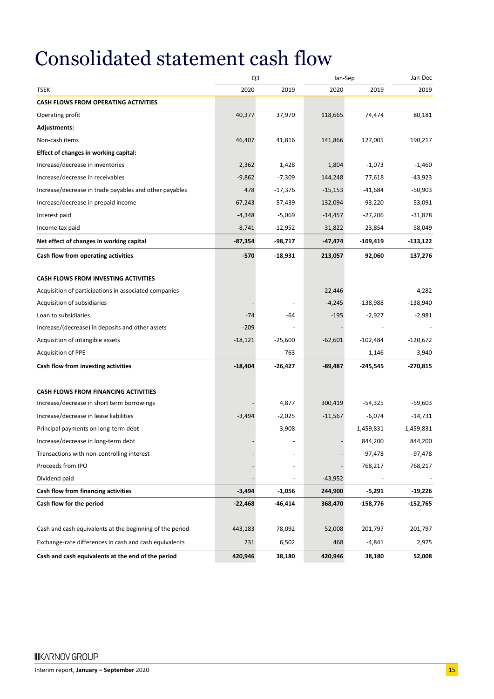## Consolidated statement cash flow

|                                                          |           | Q <sub>3</sub><br>Jan-Sep |           |              | Jan-Dec      |
|----------------------------------------------------------|-----------|---------------------------|-----------|--------------|--------------|
| <b>TSEK</b>                                              | 2020      | 2019                      | 2020      | 2019         | 2019         |
| <b>CASH FLOWS FROM OPERATING ACTIVITIES</b>              |           |                           |           |              |              |
| Operating profit                                         | 40,377    | 37,970                    | 118,665   | 74,474       | 80,181       |
| Adjustments:                                             |           |                           |           |              |              |
| Non-cash items                                           | 46,407    | 41,816                    | 141,866   | 127,005      | 190,217      |
| Effect of changes in working capital:                    |           |                           |           |              |              |
| Increase/decrease in inventories                         | 2,362     | 1,428                     | 1,804     | $-1,073$     | $-1,460$     |
| Increase/decrease in receivables                         | $-9,862$  | $-7,309$                  | 144,248   | 77,618       | $-43,923$    |
| Increase/decrease in trade payables and other payables   | 478       | $-17,376$                 | $-15,153$ | $-41,684$    | -50,903      |
| Increase/decrease in prepaid income                      | $-67,243$ | -57,439                   | -132,094  | $-93,220$    | 53,091       |
| Interest paid                                            | $-4,348$  | $-5,069$                  | $-14,457$ | $-27,206$    | $-31,878$    |
| Income tax paid                                          | $-8,741$  | -12,952                   | $-31,822$ | -23,854      | -58,049      |
| Net effect of changes in working capital                 | $-87,354$ | -98,717                   | -47,474   | $-109,419$   | $-133,122$   |
| Cash flow from operating activities                      | $-570$    | -18,931                   | 213,057   | 92,060       | 137,276      |
| <b>CASH FLOWS FROM INVESTING ACTIVITIES</b>              |           |                           |           |              |              |
| Acquisition of participations in associated companies    |           |                           | $-22,446$ |              | $-4,282$     |
| Acquisition of subsidiaries                              |           |                           | $-4,245$  | $-138,988$   | $-138,940$   |
| Loan to subsidiaries                                     | $-74$     | -64                       | $-195$    | $-2,927$     | $-2,981$     |
| Increase/(decrease) in deposits and other assets         | $-209$    |                           |           |              |              |
| Acquisition of intangible assets                         | $-18,121$ | $-25,600$                 | $-62,601$ | $-102,484$   | $-120,672$   |
| <b>Acquisition of PPE</b>                                |           | $-763$                    |           | $-1,146$     | $-3,940$     |
| Cash flow from investing activities                      | $-18,404$ | -26,427                   | $-89,487$ | -245,545     | $-270,815$   |
| <b>CASH FLOWS FROM FINANCING ACTIVITIES</b>              |           |                           |           |              |              |
| Increase/decrease in short term borrowings               |           | 4,877                     | 300,419   | $-54,325$    | -59,603      |
| Increase/decrease in lease liabilities                   | $-3,494$  | $-2,025$                  | $-11,567$ | $-6,074$     | $-14,731$    |
| Principal payments on long-term debt                     |           | $-3,908$                  |           | $-1,459,831$ | $-1,459,831$ |
| Increase/decrease in long-term debt                      |           |                           |           | 844,200      | 844,200      |
| Transactions with non-controlling interest               |           |                           |           | $-97,478$    | $-97,478$    |
| Proceeds from IPO                                        |           |                           |           | 768,217      | 768,217      |
| Dividend paid                                            |           |                           | $-43,952$ |              |              |
| Cash flow from financing activities                      | $-3,494$  | $-1,056$                  | 244,900   | $-5,291$     | $-19,226$    |
| Cash flow for the period                                 | $-22,468$ | -46,414                   | 368,470   | -158,776     | $-152,765$   |
| Cash and cash equivalents at the beginning of the period | 443,183   | 78,092                    | 52,008    | 201,797      | 201,797      |
| Exchange-rate differences in cash and cash equivalents   | 231       | 6,502                     | 468       | -4,841       | 2,975        |
| Cash and cash equivalents at the end of the period       | 420,946   | 38,180                    | 420,946   | 38,180       | 52,008       |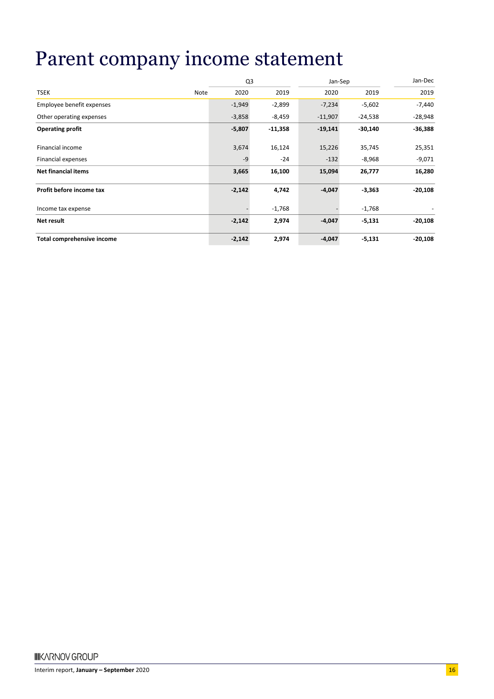### Parent company income statement

|                                   |          | Q <sub>3</sub> |           | Jan-Sep   |           |  |
|-----------------------------------|----------|----------------|-----------|-----------|-----------|--|
| <b>TSEK</b><br>Note               | 2020     | 2019           | 2020      | 2019      | 2019      |  |
| Employee benefit expenses         | $-1,949$ | $-2,899$       | $-7,234$  | $-5,602$  | $-7,440$  |  |
| Other operating expenses          | $-3,858$ | $-8,459$       | $-11,907$ | $-24,538$ | $-28,948$ |  |
| <b>Operating profit</b>           | $-5,807$ | $-11,358$      | $-19,141$ | $-30,140$ | $-36,388$ |  |
| Financial income                  | 3,674    | 16,124         | 15,226    | 35,745    | 25,351    |  |
| Financial expenses                | $-9$     | $-24$          | $-132$    | $-8,968$  | $-9,071$  |  |
| <b>Net financial items</b>        | 3,665    | 16,100         | 15,094    | 26,777    | 16,280    |  |
| Profit before income tax          | $-2,142$ | 4,742          | $-4,047$  | $-3,363$  | $-20,108$ |  |
| Income tax expense                |          | $-1,768$       |           | $-1,768$  |           |  |
| Net result                        | $-2,142$ | 2,974          | $-4,047$  | $-5,131$  | $-20,108$ |  |
| <b>Total comprehensive income</b> | $-2,142$ | 2,974          | $-4,047$  | $-5,131$  | $-20,108$ |  |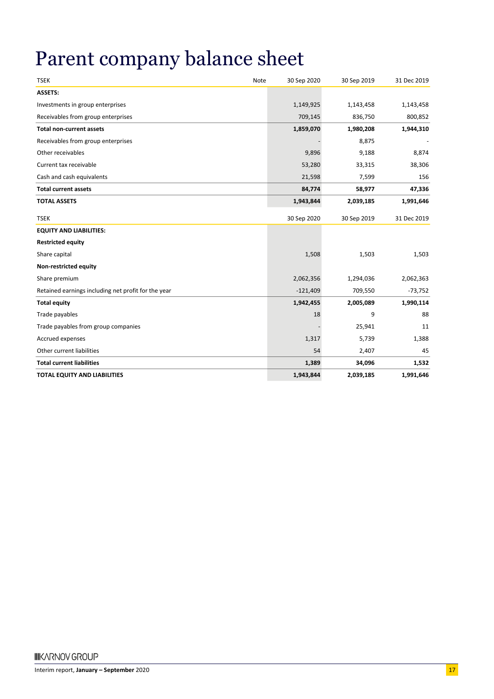# Parent company balance sheet

| <b>TSEK</b>                                         | Note | 30 Sep 2020 | 30 Sep 2019 | 31 Dec 2019 |
|-----------------------------------------------------|------|-------------|-------------|-------------|
| <b>ASSETS:</b>                                      |      |             |             |             |
| Investments in group enterprises                    |      | 1,149,925   | 1,143,458   | 1,143,458   |
| Receivables from group enterprises                  |      | 709,145     | 836,750     | 800,852     |
| <b>Total non-current assets</b>                     |      | 1,859,070   | 1,980,208   | 1,944,310   |
| Receivables from group enterprises                  |      |             | 8,875       |             |
| Other receivables                                   |      | 9,896       | 9,188       | 8,874       |
| Current tax receivable                              |      | 53,280      | 33,315      | 38,306      |
| Cash and cash equivalents                           |      | 21,598      | 7,599       | 156         |
| <b>Total current assets</b>                         |      | 84,774      | 58,977      | 47,336      |
| <b>TOTAL ASSETS</b>                                 |      | 1,943,844   | 2,039,185   | 1,991,646   |
| <b>TSEK</b>                                         |      | 30 Sep 2020 | 30 Sep 2019 | 31 Dec 2019 |
| <b>EQUITY AND LIABILITIES:</b>                      |      |             |             |             |
| <b>Restricted equity</b>                            |      |             |             |             |
| Share capital                                       |      | 1,508       | 1,503       | 1,503       |
| Non-restricted equity                               |      |             |             |             |
| Share premium                                       |      | 2,062,356   | 1,294,036   | 2,062,363   |
| Retained earnings including net profit for the year |      | $-121,409$  | 709,550     | $-73,752$   |
| <b>Total equity</b>                                 |      | 1,942,455   | 2,005,089   | 1,990,114   |
| Trade payables                                      |      | 18          | 9           | 88          |
| Trade payables from group companies                 |      |             | 25,941      | 11          |
| Accrued expenses                                    |      | 1,317       | 5,739       | 1,388       |
| Other current liabilities                           |      | 54          | 2,407       | 45          |
| <b>Total current liabilities</b>                    |      | 1,389       | 34,096      | 1,532       |
| <b>TOTAL EQUITY AND LIABILITIES</b>                 |      | 1,943,844   | 2,039,185   | 1,991,646   |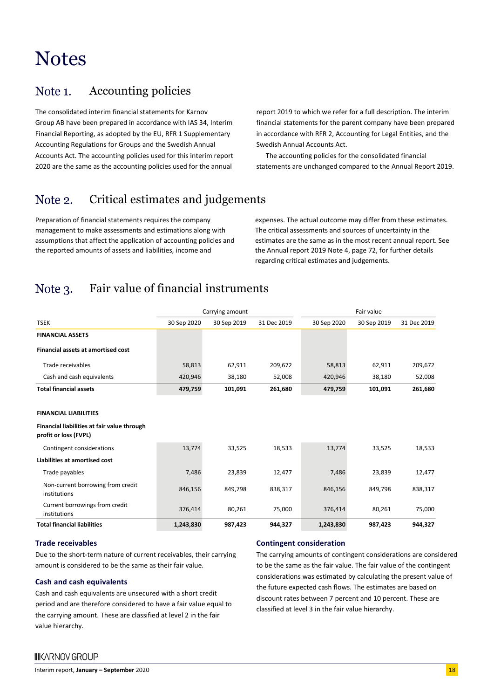### **Notes**

#### Accounting policies Note 1.

The consolidated interim financial statements for Karnov Group AB have been prepared in accordance with IAS 34, Interim Financial Reporting, as adopted by the EU, RFR 1 Supplementary Accounting Regulations for Groups and the Swedish Annual Accounts Act. The accounting policies used for this interim report 2020 are the same as the accounting policies used for the annual

report 2019 to which we refer for a full description. The interim financial statements for the parent company have been prepared in accordance with RFR 2, Accounting for Legal Entities, and the Swedish Annual Accounts Act.

The accounting policies for the consolidated financial statements are unchanged compared to the Annual Report 2019.

#### Critical estimates and judgements Note 2.

Preparation of financial statements requires the company management to make assessments and estimations along with assumptions that affect the application of accounting policies and the reported amounts of assets and liabilities, income and

expenses. The actual outcome may differ from these estimates. The critical assessments and sources of uncertainty in the estimates are the same as in the most recent annual report. See the Annual report 2019 Note 4, page 72, for further details regarding critical estimates and judgements.

#### Fair value of financial instruments Note 3.

|                                                                      |             | Carrying amount |             | Fair value  |             |             |  |
|----------------------------------------------------------------------|-------------|-----------------|-------------|-------------|-------------|-------------|--|
| <b>TSEK</b>                                                          | 30 Sep 2020 | 30 Sep 2019     | 31 Dec 2019 | 30 Sep 2020 | 30 Sep 2019 | 31 Dec 2019 |  |
| <b>FINANCIAL ASSETS</b>                                              |             |                 |             |             |             |             |  |
| <b>Financial assets at amortised cost</b>                            |             |                 |             |             |             |             |  |
| Trade receivables                                                    | 58,813      | 62,911          | 209,672     | 58,813      | 62,911      | 209,672     |  |
| Cash and cash equivalents                                            | 420,946     | 38,180          | 52,008      | 420,946     | 38,180      | 52,008      |  |
| <b>Total financial assets</b>                                        | 479,759     | 101,091         | 261,680     | 479,759     | 101,091     | 261,680     |  |
|                                                                      |             |                 |             |             |             |             |  |
| <b>FINANCIAL LIABILITIES</b>                                         |             |                 |             |             |             |             |  |
| Financial liabilities at fair value through<br>profit or loss (FVPL) |             |                 |             |             |             |             |  |
| Contingent considerations                                            | 13,774      | 33,525          | 18,533      | 13,774      | 33,525      | 18,533      |  |
| Liabilities at amortised cost                                        |             |                 |             |             |             |             |  |
| Trade payables                                                       | 7,486       | 23,839          | 12,477      | 7,486       | 23,839      | 12,477      |  |
| Non-current borrowing from credit<br>institutions                    | 846,156     | 849,798         | 838,317     | 846,156     | 849,798     | 838,317     |  |
| Current borrowings from credit<br>institutions                       | 376,414     | 80,261          | 75,000      | 376,414     | 80,261      | 75,000      |  |
| <b>Total financial liabilities</b>                                   | 1,243,830   | 987,423         | 944,327     | 1,243,830   | 987,423     | 944,327     |  |

#### **Trade receivables**

Due to the short-term nature of current receivables, their carrying amount is considered to be the same as their fair value.

#### **Cash and cash equivalents**

Cash and cash equivalents are unsecured with a short credit period and are therefore considered to have a fair value equal to the carrying amount. These are classified at level 2 in the fair value hierarchy.

#### **Contingent consideration**

The carrying amounts of contingent considerations are considered to be the same as the fair value. The fair value of the contingent considerations was estimated by calculating the present value of the future expected cash flows. The estimates are based on discount rates between 7 percent and 10 percent. These are classified at level 3 in the fair value hierarchy.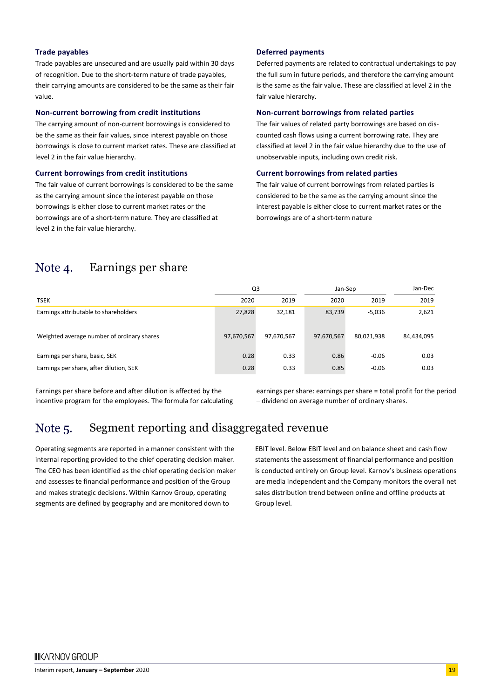#### **Trade payables**

Trade payables are unsecured and are usually paid within 30 days of recognition. Due to the short-term nature of trade payables, their carrying amounts are considered to be the same as their fair value.

#### **Non-current borrowing from credit institutions**

The carrying amount of non-current borrowings is considered to be the same as their fair values, since interest payable on those borrowings is close to current market rates. These are classified at level 2 in the fair value hierarchy.

#### **Current borrowings from credit institutions**

The fair value of current borrowings is considered to be the same as the carrying amount since the interest payable on those borrowings is either close to current market rates or the borrowings are of a short-term nature. They are classified at level 2 in the fair value hierarchy.

#### **Deferred payments**

Deferred payments are related to contractual undertakings to pay the full sum in future periods, and therefore the carrying amount is the same as the fair value. These are classified at level 2 in the fair value hierarchy.

#### **Non-current borrowings from related parties**

The fair values of related party borrowings are based on discounted cash flows using a current borrowing rate. They are classified at level 2 in the fair value hierarchy due to the use of unobservable inputs, including own credit risk.

#### **Current borrowings from related parties**

The fair value of current borrowings from related parties is considered to be the same as the carrying amount since the interest payable is either close to current market rates or the borrowings are of a short-term nature

#### Note 4. Earnings per share

|                                            | Q3         |            | Jan-Sep    | Jan-Dec    |            |
|--------------------------------------------|------------|------------|------------|------------|------------|
| <b>TSEK</b>                                | 2020       | 2019       | 2020       | 2019       | 2019       |
| Earnings attributable to shareholders      | 27,828     | 32,181     | 83,739     | $-5,036$   | 2,621      |
| Weighted average number of ordinary shares | 97,670,567 | 97,670,567 | 97,670,567 | 80,021,938 | 84,434,095 |
| Earnings per share, basic, SEK             | 0.28       | 0.33       | 0.86       | $-0.06$    | 0.03       |
| Earnings per share, after dilution, SEK    | 0.28       | 0.33       | 0.85       | $-0.06$    | 0.03       |

Earnings per share before and after dilution is affected by the incentive program for the employees. The formula for calculating earnings per share: earnings per share = total profit for the period – dividend on average number of ordinary shares.

#### Segment reporting and disaggregated revenue Note 5.

Operating segments are reported in a manner consistent with the internal reporting provided to the chief operating decision maker. The CEO has been identified as the chief operating decision maker and assesses te financial performance and position of the Group and makes strategic decisions. Within Karnov Group, operating segments are defined by geography and are monitored down to

EBIT level. Below EBIT level and on balance sheet and cash flow statements the assessment of financial performance and position is conducted entirely on Group level. Karnov's business operations are media independent and the Company monitors the overall net sales distribution trend between online and offline products at Group level.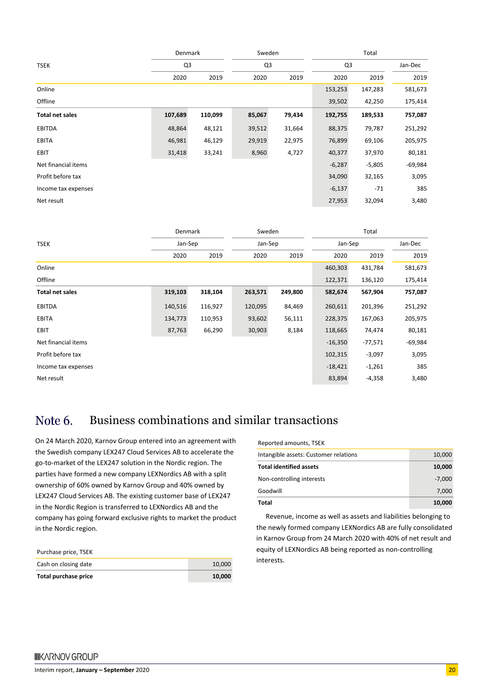|                        | <b>Denmark</b> |         | Sweden |        | Total    |          |           |
|------------------------|----------------|---------|--------|--------|----------|----------|-----------|
| <b>TSEK</b>            | Q3             |         | Q3     |        | Q3       |          | Jan-Dec   |
|                        | 2020           | 2019    | 2020   | 2019   | 2020     | 2019     | 2019      |
| Online                 |                |         |        |        | 153,253  | 147,283  | 581,673   |
| Offline                |                |         |        |        | 39,502   | 42,250   | 175,414   |
| <b>Total net sales</b> | 107,689        | 110,099 | 85,067 | 79,434 | 192,755  | 189,533  | 757,087   |
| <b>EBITDA</b>          | 48,864         | 48,121  | 39,512 | 31,664 | 88,375   | 79,787   | 251,292   |
| <b>EBITA</b>           | 46,981         | 46,129  | 29,919 | 22,975 | 76,899   | 69,106   | 205,975   |
| EBIT                   | 31,418         | 33,241  | 8,960  | 4,727  | 40,377   | 37,970   | 80,181    |
| Net financial items    |                |         |        |        | $-6,287$ | $-5,805$ | $-69,984$ |
| Profit before tax      |                |         |        |        | 34,090   | 32,165   | 3,095     |
| Income tax expenses    |                |         |        |        | $-6,137$ | -71      | 385       |
| Net result             |                |         |        |        | 27,953   | 32,094   | 3,480     |

|                        | Sweden<br><b>Denmark</b> |         |         |         | Total     |           |           |
|------------------------|--------------------------|---------|---------|---------|-----------|-----------|-----------|
| <b>TSEK</b>            | Jan-Sep                  |         | Jan-Sep |         | Jan-Sep   |           | Jan-Dec   |
|                        | 2020                     | 2019    | 2020    | 2019    | 2020      | 2019      | 2019      |
| Online                 |                          |         |         |         | 460,303   | 431,784   | 581,673   |
| Offline                |                          |         |         |         | 122,371   | 136,120   | 175,414   |
| <b>Total net sales</b> | 319,103                  | 318,104 | 263,571 | 249,800 | 582,674   | 567,904   | 757,087   |
| <b>EBITDA</b>          | 140,516                  | 116,927 | 120,095 | 84,469  | 260,611   | 201,396   | 251,292   |
| EBITA                  | 134,773                  | 110,953 | 93,602  | 56,111  | 228,375   | 167,063   | 205,975   |
| EBIT                   | 87,763                   | 66,290  | 30,903  | 8,184   | 118,665   | 74,474    | 80,181    |
| Net financial items    |                          |         |         |         | $-16,350$ | $-77,571$ | $-69,984$ |
| Profit before tax      |                          |         |         |         | 102,315   | $-3,097$  | 3,095     |
| Income tax expenses    |                          |         |         |         | $-18,421$ | $-1,261$  | 385       |
| Net result             |                          |         |         |         | 83,894    | $-4,358$  | 3,480     |

#### Business combinations and similar transactions Note 6.

On 24 March 2020, Karnov Group entered into an agreement with the Swedish company LEX247 Cloud Services AB to accelerate the go-to-market of the LEX247 solution in the Nordic region. The parties have formed a new company LEXNordics AB with a split ownership of 60% owned by Karnov Group and 40% owned by LEX247 Cloud Services AB. The existing customer base of LEX247 in the Nordic Region is transferred to LEXNordics AB and the company has going forward exclusive rights to market the product in the Nordic region.

| Total purchase price | 10.000 |
|----------------------|--------|
| Cash on closing date | 10.000 |
| Purchase price, TSEK |        |

Reported amounts, TSEK

| Total                                 | 10,000   |
|---------------------------------------|----------|
| Goodwill                              | 7.000    |
| Non-controlling interests             | $-7.000$ |
| <b>Total identified assets</b>        | 10,000   |
| Intangible assets: Customer relations | 10,000   |
|                                       |          |

Revenue, income as well as assets and liabilities belonging to the newly formed company LEXNordics AB are fully consolidated in Karnov Group from 24 March 2020 with 40% of net result and equity of LEXNordics AB being reported as non-controlling interests.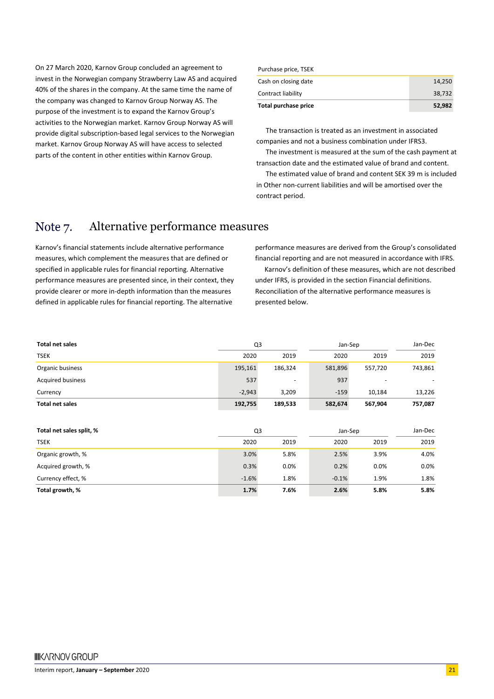On 27 March 2020, Karnov Group concluded an agreement to invest in the Norwegian company Strawberry Law AS and acquired 40% of the shares in the company. At the same time the name of the company was changed to Karnov Group Norway AS. The purpose of the investment is to expand the Karnov Group's activities to the Norwegian market. Karnov Group Norway AS will provide digital subscription-based legal services to the Norwegian market. Karnov Group Norway AS will have access to selected parts of the content in other entities within Karnov Group.

| Total purchase price | 52,982 |
|----------------------|--------|
| Contract liability   | 38.732 |
| Cash on closing date | 14.250 |
| Purchase price, TSEK |        |

The transaction is treated as an investment in associated companies and not a business combination under IFRS3.

The investment is measured at the sum of the cash payment at transaction date and the estimated value of brand and content.

The estimated value of brand and content SEK 39 m is included in Other non-current liabilities and will be amortised over the contract period.

#### Alternative performance measures Note 7.

Karnov's financial statements include alternative performance measures, which complement the measures that are defined or specified in applicable rules for financial reporting. Alternative performance measures are presented since, in their context, they provide clearer or more in-depth information than the measures defined in applicable rules for financial reporting. The alternative

performance measures are derived from the Group's consolidated financial reporting and are not measured in accordance with IFRS.

Karnov's definition of these measures, which are not described under IFRS, is provided in the section Financial definitions. Reconciliation of the alternative performance measures is presented below.

| <b>Total net sales</b>   |          | Q <sub>3</sub> |         | Jan-Sep |         |  |
|--------------------------|----------|----------------|---------|---------|---------|--|
| <b>TSEK</b>              | 2020     | 2019           | 2020    | 2019    | 2019    |  |
| Organic business         | 195,161  | 186,324        | 581,896 | 557,720 | 743,861 |  |
| <b>Acquired business</b> | 537      |                | 937     |         |         |  |
| Currency                 | $-2,943$ | 3,209          | $-159$  | 10,184  | 13,226  |  |
| <b>Total net sales</b>   | 192,755  | 189,533        | 582,674 | 567,904 | 757,087 |  |
|                          |          |                |         |         |         |  |
| Total net sales split, % |          | Q3             |         | Jan-Sep |         |  |
| <b>TSEK</b>              | 2020     | 2019           | 2020    | 2019    | 2019    |  |
| Organic growth, %        | 3.0%     | 5.8%           | 2.5%    | 3.9%    | 4.0%    |  |
| Acquired growth, %       | 0.3%     | 0.0%           | 0.2%    | 0.0%    | 0.0%    |  |
| Currency effect, %       | $-1.6%$  | 1.8%           | $-0.1%$ | 1.9%    | 1.8%    |  |
| Total growth, %          | 1.7%     | 7.6%           | 2.6%    | 5.8%    | 5.8%    |  |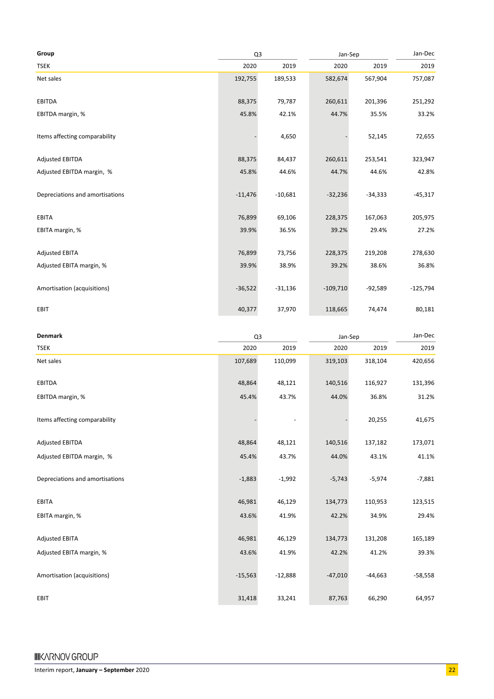| Group                           | Q <sub>3</sub> |           | Jan-Sep    | Jan-Dec   |            |
|---------------------------------|----------------|-----------|------------|-----------|------------|
| <b>TSEK</b>                     | 2020           | 2019      | 2020       | 2019      | 2019       |
| Net sales                       | 192,755        | 189,533   | 582,674    | 567,904   | 757,087    |
| <b>EBITDA</b>                   | 88,375         | 79,787    | 260,611    | 201,396   | 251,292    |
| EBITDA margin, %                | 45.8%          | 42.1%     | 44.7%      | 35.5%     | 33.2%      |
| Items affecting comparability   |                | 4,650     |            | 52,145    | 72,655     |
| <b>Adjusted EBITDA</b>          | 88,375         | 84,437    | 260,611    | 253,541   | 323,947    |
| Adjusted EBITDA margin, %       | 45.8%          | 44.6%     | 44.7%      | 44.6%     | 42.8%      |
| Depreciations and amortisations | $-11,476$      | $-10,681$ | $-32,236$  | $-34,333$ | $-45,317$  |
| <b>EBITA</b>                    | 76,899         | 69,106    | 228,375    | 167,063   | 205,975    |
| EBITA margin, %                 | 39.9%          | 36.5%     | 39.2%      | 29.4%     | 27.2%      |
| <b>Adjusted EBITA</b>           | 76,899         | 73,756    | 228,375    | 219,208   | 278,630    |
| Adjusted EBITA margin, %        | 39.9%          | 38.9%     | 39.2%      | 38.6%     | 36.8%      |
| Amortisation (acquisitions)     | $-36,522$      | $-31,136$ | $-109,710$ | $-92,589$ | $-125,794$ |
| EBIT                            | 40,377         | 37,970    | 118,665    | 74,474    | 80,181     |

| <b>Denmark</b>                  | Q <sub>3</sub> |           | Jan-Sep   | Jan-Dec   |           |
|---------------------------------|----------------|-----------|-----------|-----------|-----------|
| <b>TSEK</b>                     | 2020           | 2019      | 2020      | 2019      | 2019      |
| Net sales                       | 107,689        | 110,099   | 319,103   | 318,104   | 420,656   |
| <b>EBITDA</b>                   | 48,864         | 48,121    | 140,516   | 116,927   | 131,396   |
| EBITDA margin, %                | 45.4%          | 43.7%     | 44.0%     | 36.8%     | 31.2%     |
| Items affecting comparability   |                |           |           | 20,255    | 41,675    |
| <b>Adjusted EBITDA</b>          | 48,864         | 48,121    | 140,516   | 137,182   | 173,071   |
| Adjusted EBITDA margin, %       | 45.4%          | 43.7%     | 44.0%     | 43.1%     | 41.1%     |
| Depreciations and amortisations | $-1,883$       | $-1,992$  | $-5,743$  | $-5,974$  | $-7,881$  |
| <b>EBITA</b>                    | 46,981         | 46,129    | 134,773   | 110,953   | 123,515   |
| EBITA margin, %                 | 43.6%          | 41.9%     | 42.2%     | 34.9%     | 29.4%     |
| <b>Adjusted EBITA</b>           | 46,981         | 46,129    | 134,773   | 131,208   | 165,189   |
| Adjusted EBITA margin, %        | 43.6%          | 41.9%     | 42.2%     | 41.2%     | 39.3%     |
| Amortisation (acquisitions)     | $-15,563$      | $-12,888$ | $-47,010$ | $-44,663$ | $-58,558$ |
| EBIT                            | 31,418         | 33,241    | 87,763    | 66,290    | 64,957    |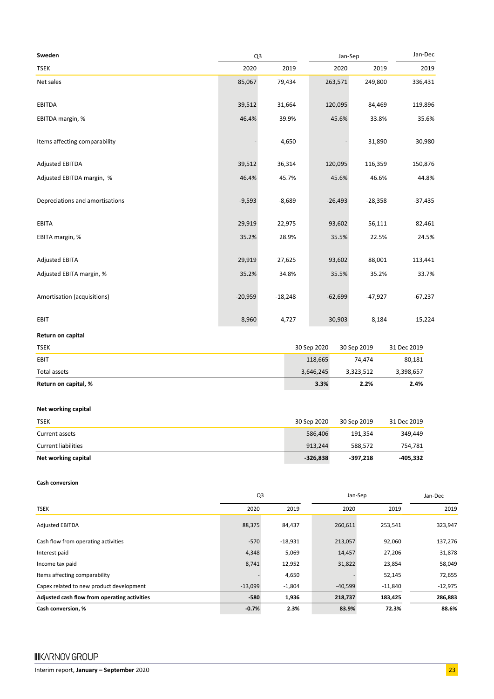| Sweden                          | Q3        |           | Jan-Sep   | Jan-Dec   |           |
|---------------------------------|-----------|-----------|-----------|-----------|-----------|
| <b>TSEK</b>                     | 2020      | 2019      | 2020      | 2019      | 2019      |
| Net sales                       | 85,067    | 79,434    | 263,571   | 249,800   | 336,431   |
| <b>EBITDA</b>                   | 39,512    | 31,664    | 120,095   | 84,469    | 119,896   |
| EBITDA margin, %                | 46.4%     | 39.9%     | 45.6%     | 33.8%     | 35.6%     |
| Items affecting comparability   |           | 4,650     |           | 31,890    | 30,980    |
| <b>Adjusted EBITDA</b>          | 39,512    | 36,314    | 120,095   | 116,359   | 150,876   |
| Adjusted EBITDA margin, %       | 46.4%     | 45.7%     | 45.6%     | 46.6%     | 44.8%     |
| Depreciations and amortisations | $-9,593$  | $-8,689$  | $-26,493$ | $-28,358$ | $-37,435$ |
| <b>EBITA</b>                    | 29,919    | 22,975    | 93,602    | 56,111    | 82,461    |
| EBITA margin, %                 | 35.2%     | 28.9%     | 35.5%     | 22.5%     | 24.5%     |
| <b>Adjusted EBITA</b>           | 29,919    | 27,625    | 93,602    | 88,001    | 113,441   |
| Adjusted EBITA margin, %        | 35.2%     | 34.8%     | 35.5%     | 35.2%     | 33.7%     |
| Amortisation (acquisitions)     | $-20,959$ | $-18,248$ | $-62,699$ | $-47,927$ | $-67,237$ |
| EBIT                            | 8,960     | 4,727     | 30,903    | 8,184     | 15,224    |

#### **Return on capital**

| Return on capital, % | 3.3%        | 2.2%        | 2.4%        |
|----------------------|-------------|-------------|-------------|
| Total assets         | 3,646,245   | 3,323,512   | 3,398,657   |
| EBIT                 | 118,665     | 74.474      | 80,181      |
| <b>TSEK</b>          | 30 Sep 2020 | 30 Sep 2019 | 31 Dec 2019 |

#### **Net working capital**

| <b>TSEK</b>                | 30 Sep 2020 | 30 Sep 2019 | 31 Dec 2019 |
|----------------------------|-------------|-------------|-------------|
| Current assets             | 586.406     | 191.354     | 349.449     |
| <b>Current liabilities</b> | 913.244     | 588.572     | 754.781     |
| Net working capital        | $-326.838$  | $-397.218$  | -405.332    |

#### **Cash conversion**

|                                              | Q <sub>3</sub> |           | Jan-Sep   | Jan-Dec   |           |
|----------------------------------------------|----------------|-----------|-----------|-----------|-----------|
| <b>TSEK</b>                                  | 2020           | 2019      | 2020      | 2019      | 2019      |
| <b>Adjusted EBITDA</b>                       | 88,375         | 84,437    | 260,611   | 253,541   | 323,947   |
| Cash flow from operating activities          | $-570$         | $-18,931$ | 213,057   | 92,060    | 137,276   |
| Interest paid                                | 4,348          | 5,069     | 14,457    | 27,206    | 31,878    |
| Income tax paid                              | 8,741          | 12,952    | 31,822    | 23,854    | 58,049    |
| Items affecting comparability                |                | 4,650     |           | 52,145    | 72,655    |
| Capex related to new product development     | $-13,099$      | $-1,804$  | $-40,599$ | $-11,840$ | $-12,975$ |
| Adjusted cash flow from operating activities | $-580$         | 1,936     | 218,737   | 183,425   | 286,883   |
| Cash conversion, %                           | $-0.7%$        | 2.3%      | 83.9%     | 72.3%     | 88.6%     |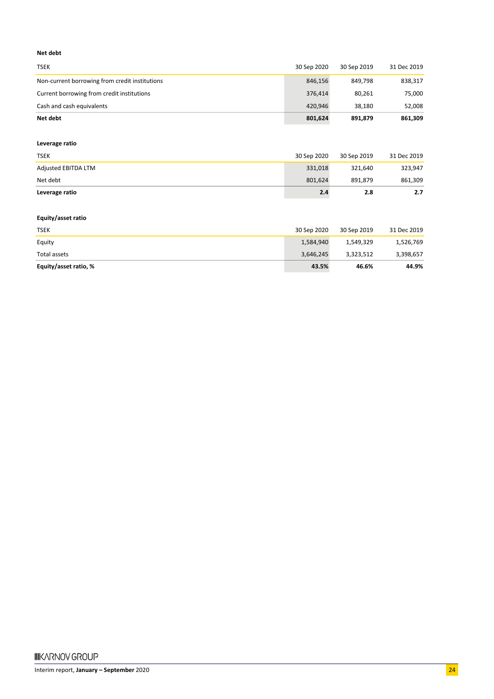#### **Net debt**

| <b>TSEK</b>                                    | 30 Sep 2020 | 30 Sep 2019 | 31 Dec 2019 |
|------------------------------------------------|-------------|-------------|-------------|
| Non-current borrowing from credit institutions | 846.156     | 849.798     | 838,317     |
| Current borrowing from credit institutions     | 376.414     | 80.261      | 75,000      |
| Cash and cash equivalents                      | 420.946     | 38.180      | 52,008      |
| Net debt                                       | 801,624     | 891.879     | 861,309     |

#### **Leverage ratio**

| <b>TSEK</b>         | 30 Sep 2020 | 30 Sep 2019 | 31 Dec 2019 |
|---------------------|-------------|-------------|-------------|
| Adjusted EBITDA LTM | 331.018     | 321.640     | 323,947     |
| Net debt            | 801.624     | 891.879     | 861,309     |
| Leverage ratio      | 2.4         | 2.8         | 2.7         |

#### **Equity/asset ratio**

| <b>TSEK</b>           | 30 Sep 2020 | 30 Sep 2019 | 31 Dec 2019 |
|-----------------------|-------------|-------------|-------------|
| Equity                | 1,584,940   | 1,549,329   | 1,526,769   |
| Total assets          | 3,646,245   | 3,323,512   | 3,398,657   |
| Equity/asset ratio, % | 43.5%       | 46.6%       | 44.9%       |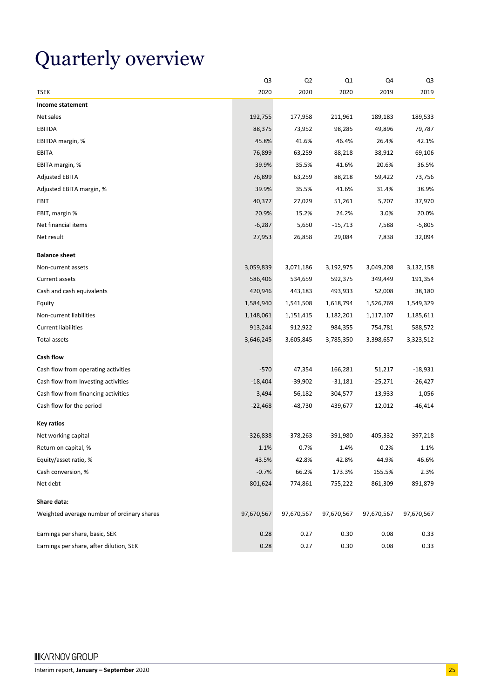# Quarterly overview

|                                            | Q3         | Q <sub>2</sub> | Q1         | Q4         | Q3         |
|--------------------------------------------|------------|----------------|------------|------------|------------|
| <b>TSEK</b>                                | 2020       | 2020           | 2020       | 2019       | 2019       |
| Income statement                           |            |                |            |            |            |
| Net sales                                  | 192,755    | 177,958        | 211,961    | 189,183    | 189,533    |
| <b>EBITDA</b>                              | 88,375     | 73,952         | 98,285     | 49,896     | 79,787     |
| EBITDA margin, %                           | 45.8%      | 41.6%          | 46.4%      | 26.4%      | 42.1%      |
| EBITA                                      | 76,899     | 63,259         | 88,218     | 38,912     | 69,106     |
| EBITA margin, %                            | 39.9%      | 35.5%          | 41.6%      | 20.6%      | 36.5%      |
| <b>Adjusted EBITA</b>                      | 76,899     | 63,259         | 88,218     | 59,422     | 73,756     |
| Adjusted EBITA margin, %                   | 39.9%      | 35.5%          | 41.6%      | 31.4%      | 38.9%      |
| <b>EBIT</b>                                | 40,377     | 27,029         | 51,261     | 5,707      | 37,970     |
| EBIT, margin %                             | 20.9%      | 15.2%          | 24.2%      | 3.0%       | 20.0%      |
| Net financial items                        | $-6,287$   | 5,650          | $-15,713$  | 7,588      | $-5,805$   |
| Net result                                 | 27,953     | 26,858         | 29,084     | 7,838      | 32,094     |
| <b>Balance sheet</b>                       |            |                |            |            |            |
| Non-current assets                         | 3,059,839  | 3,071,186      | 3,192,975  | 3,049,208  | 3,132,158  |
| Current assets                             | 586,406    | 534,659        | 592,375    | 349,449    | 191,354    |
| Cash and cash equivalents                  | 420,946    | 443,183        | 493,933    | 52,008     | 38,180     |
| Equity                                     | 1,584,940  | 1,541,508      | 1,618,794  | 1,526,769  | 1,549,329  |
| Non-current liabilities                    | 1,148,061  | 1,151,415      | 1,182,201  | 1,117,107  | 1,185,611  |
| <b>Current liabilities</b>                 | 913,244    | 912,922        | 984,355    | 754,781    | 588,572    |
| <b>Total assets</b>                        | 3,646,245  | 3,605,845      | 3,785,350  | 3,398,657  | 3,323,512  |
| <b>Cash flow</b>                           |            |                |            |            |            |
| Cash flow from operating activities        | $-570$     | 47,354         | 166,281    | 51,217     | $-18,931$  |
| Cash flow from Investing activities        | $-18,404$  | $-39,902$      | $-31,181$  | $-25,271$  | $-26,427$  |
| Cash flow from financing activities        | $-3,494$   | -56,182        | 304,577    | $-13,933$  | $-1,056$   |
| Cash flow for the period                   | $-22,468$  | -48,730        | 439,677    | 12,012     | $-46,414$  |
| <b>Key ratios</b>                          |            |                |            |            |            |
| Net working capital                        | $-326,838$ | $-378,263$     | -391,980   | $-405,332$ | $-397,218$ |
| Return on capital, %                       | 1.1%       | 0.7%           | 1.4%       | 0.2%       | 1.1%       |
| Equity/asset ratio, %                      | 43.5%      | 42.8%          | 42.8%      | 44.9%      | 46.6%      |
| Cash conversion, %                         | $-0.7%$    | 66.2%          | 173.3%     | 155.5%     | 2.3%       |
| Net debt                                   | 801,624    | 774,861        | 755,222    | 861,309    | 891,879    |
| Share data:                                |            |                |            |            |            |
| Weighted average number of ordinary shares | 97,670,567 | 97,670,567     | 97,670,567 | 97,670,567 | 97,670,567 |
| Earnings per share, basic, SEK             | 0.28       | 0.27           | 0.30       | 0.08       | 0.33       |
| Earnings per share, after dilution, SEK    | 0.28       | 0.27           | 0.30       | 0.08       | 0.33       |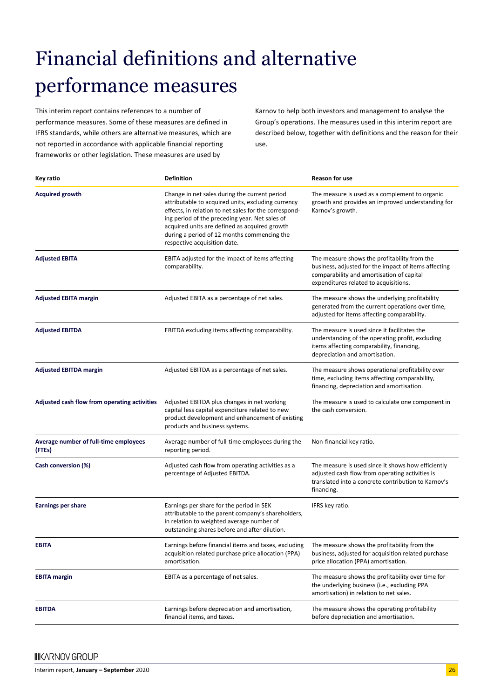# Financial definitions and alternative performance measures

This interim report contains references to a number of performance measures. Some of these measures are defined in IFRS standards, while others are alternative measures, which are not reported in accordance with applicable financial reporting frameworks or other legislation. These measures are used by

Karnov to help both investors and management to analyse the Group's operations. The measures used in this interim report are described below, together with definitions and the reason for their use.

| Key ratio                                       | <b>Definition</b>                                                                                                                                                                                                                                                                                                                              | <b>Reason for use</b>                                                                                                                                                                      |
|-------------------------------------------------|------------------------------------------------------------------------------------------------------------------------------------------------------------------------------------------------------------------------------------------------------------------------------------------------------------------------------------------------|--------------------------------------------------------------------------------------------------------------------------------------------------------------------------------------------|
| <b>Acquired growth</b>                          | Change in net sales during the current period<br>attributable to acquired units, excluding currency<br>effects, in relation to net sales for the correspond-<br>ing period of the preceding year. Net sales of<br>acquired units are defined as acquired growth<br>during a period of 12 months commencing the<br>respective acquisition date. | The measure is used as a complement to organic<br>growth and provides an improved understanding for<br>Karnov's growth.                                                                    |
| <b>Adjusted EBITA</b>                           | EBITA adjusted for the impact of items affecting<br>comparability.                                                                                                                                                                                                                                                                             | The measure shows the profitability from the<br>business, adjusted for the impact of items affecting<br>comparability and amortisation of capital<br>expenditures related to acquisitions. |
| <b>Adjusted EBITA margin</b>                    | Adjusted EBITA as a percentage of net sales.                                                                                                                                                                                                                                                                                                   | The measure shows the underlying profitability<br>generated from the current operations over time,<br>adjusted for items affecting comparability.                                          |
| <b>Adjusted EBITDA</b>                          | EBITDA excluding items affecting comparability.                                                                                                                                                                                                                                                                                                | The measure is used since it facilitates the<br>understanding of the operating profit, excluding<br>items affecting comparability, financing,<br>depreciation and amortisation.            |
| <b>Adjusted EBITDA margin</b>                   | Adjusted EBITDA as a percentage of net sales.                                                                                                                                                                                                                                                                                                  | The measure shows operational profitability over<br>time, excluding items affecting comparability,<br>financing, depreciation and amortisation.                                            |
| Adjusted cash flow from operating activities    | Adjusted EBITDA plus changes in net working<br>capital less capital expenditure related to new<br>product development and enhancement of existing<br>products and business systems.                                                                                                                                                            | The measure is used to calculate one component in<br>the cash conversion.                                                                                                                  |
| Average number of full-time employees<br>(FTEs) | Average number of full-time employees during the<br>reporting period.                                                                                                                                                                                                                                                                          | Non-financial key ratio.                                                                                                                                                                   |
| Cash conversion (%)                             | Adjusted cash flow from operating activities as a<br>percentage of Adjusted EBITDA.                                                                                                                                                                                                                                                            | The measure is used since it shows how efficiently<br>adjusted cash flow from operating activities is<br>translated into a concrete contribution to Karnov's<br>financing.                 |
| <b>Earnings per share</b>                       | Earnings per share for the period in SEK<br>attributable to the parent company's shareholders,<br>in relation to weighted average number of<br>outstanding shares before and after dilution.                                                                                                                                                   | IFRS key ratio.                                                                                                                                                                            |
| EBIJA                                           | Earnings before financial items and taxes, excluding<br>acquisition related purchase price allocation (PPA)<br>amortisation.                                                                                                                                                                                                                   | The measure shows the profitability from the<br>business, adjusted for acquisition related purchase<br>price allocation (PPA) amortisation.                                                |
| <b>EBITA margin</b>                             | EBITA as a percentage of net sales.                                                                                                                                                                                                                                                                                                            | The measure shows the profitability over time for<br>the underlying business (i.e., excluding PPA<br>amortisation) in relation to net sales.                                               |
| <b>EBITDA</b>                                   | Earnings before depreciation and amortisation,<br>financial items, and taxes.                                                                                                                                                                                                                                                                  | The measure shows the operating profitability<br>before depreciation and amortisation.                                                                                                     |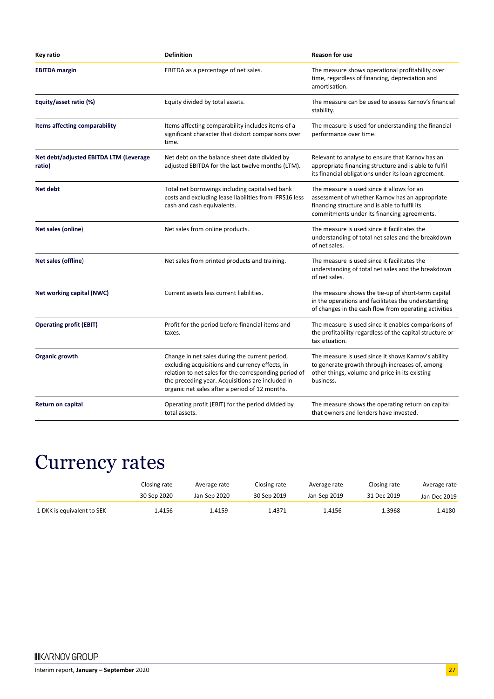| Key ratio                                        | <b>Definition</b>                                                                                                                                                                                                                                                | <b>Reason for use</b>                                                                                                                                                                         |
|--------------------------------------------------|------------------------------------------------------------------------------------------------------------------------------------------------------------------------------------------------------------------------------------------------------------------|-----------------------------------------------------------------------------------------------------------------------------------------------------------------------------------------------|
| <b>EBITDA</b> margin                             | EBITDA as a percentage of net sales.                                                                                                                                                                                                                             | The measure shows operational profitability over<br>time, regardless of financing, depreciation and<br>amortisation.                                                                          |
| Equity/asset ratio (%)                           | Equity divided by total assets.                                                                                                                                                                                                                                  | The measure can be used to assess Karnov's financial<br>stability.                                                                                                                            |
| Items affecting comparability                    | Items affecting comparability includes items of a<br>significant character that distort comparisons over<br>time.                                                                                                                                                | The measure is used for understanding the financial<br>performance over time.                                                                                                                 |
| Net debt/adjusted EBITDA LTM (Leverage<br>ratio) | Net debt on the balance sheet date divided by<br>adjusted EBITDA for the last twelve months (LTM).                                                                                                                                                               | Relevant to analyse to ensure that Karnov has an<br>appropriate financing structure and is able to fulfil<br>its financial obligations under its loan agreement.                              |
| Net debt                                         | Total net borrowings including capitalised bank<br>costs and excluding lease liabilities from IFRS16 less<br>cash and cash equivalents.                                                                                                                          | The measure is used since it allows for an<br>assessment of whether Karnov has an appropriate<br>financing structure and is able to fulfil its<br>commitments under its financing agreements. |
| Net sales (online)                               | Net sales from online products.                                                                                                                                                                                                                                  | The measure is used since it facilitates the<br>understanding of total net sales and the breakdown<br>of net sales.                                                                           |
| Net sales (offline)                              | Net sales from printed products and training.                                                                                                                                                                                                                    | The measure is used since it facilitates the<br>understanding of total net sales and the breakdown<br>of net sales.                                                                           |
| Net working capital (NWC)                        | Current assets less current liabilities.                                                                                                                                                                                                                         | The measure shows the tie-up of short-term capital<br>in the operations and facilitates the understanding<br>of changes in the cash flow from operating activities                            |
| <b>Operating profit (EBIT)</b>                   | Profit for the period before financial items and<br>taxes.                                                                                                                                                                                                       | The measure is used since it enables comparisons of<br>the profitability regardless of the capital structure or<br>tax situation.                                                             |
| Organic growth                                   | Change in net sales during the current period,<br>excluding acquisitions and currency effects, in<br>relation to net sales for the corresponding period of<br>the preceding year. Acquisitions are included in<br>organic net sales after a period of 12 months. | The measure is used since it shows Karnov's ability<br>to generate growth through increases of, among<br>other things, volume and price in its existing<br>business.                          |
| Return on capital                                | Operating profit (EBIT) for the period divided by<br>total assets.                                                                                                                                                                                               | The measure shows the operating return on capital<br>that owners and lenders have invested.                                                                                                   |

### Currency rates

|                            | Closing rate | Average rate | Closing rate | Average rate | Closing rate | Average rate |
|----------------------------|--------------|--------------|--------------|--------------|--------------|--------------|
|                            | 30 Sep 2020  | Jan-Sep 2020 | 30 Sep 2019  | Jan-Sep 2019 | 31 Dec 2019  | Jan-Dec 2019 |
| 1 DKK is equivalent to SEK | 1.4156       | 1.4159       | 1.4371       | 1.4156       | 1.3968       | 1.4180       |